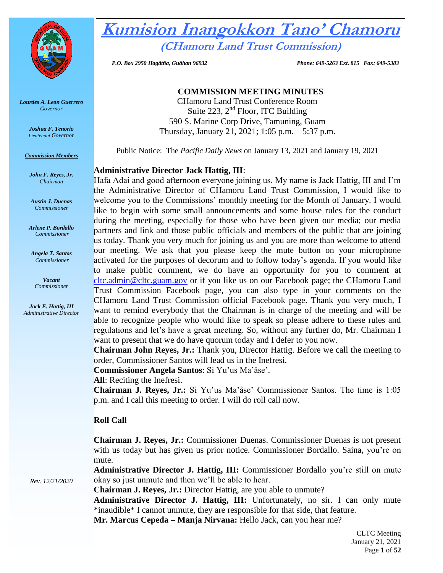

*Lourdes A. Leon Guerrero Governor* 

> *Joshua F. Tenorio Lieutenant Governor*

*Commission Members*

*John F. Reyes, Jr. Chairman*

*Austin J. Duenas Commissioner*

*Arlene P. Bordallo Commissioner*

*Angela T. Santos Commissioner*

> *Vacant Commissioner*

*Jack E. Hattig, III Administrative Director* **Kumision Inangokkon Tano' Chamoru (CHamoru Land Trust Commission)**

 *P.O. Box 2950 Hagåtña, Guåhan 96932 Phone: 649-5263 Ext. 815 Fax: 649-5383*

# **COMMISSION MEETING MINUTES**

CHamoru Land Trust Conference Room Suite 223,  $2<sup>nd</sup>$  Floor, ITC Building 590 S. Marine Corp Drive, Tamuning, Guam Thursday, January 21, 2021; 1:05 p.m. – 5:37 p.m.

Public Notice: The *Pacific Daily News* on January 13, 2021 and January 19, 2021

# **Administrative Director Jack Hattig, III**:

Hafa Adai and good afternoon everyone joining us. My name is Jack Hattig, III and I'm the Administrative Director of CHamoru Land Trust Commission, I would like to welcome you to the Commissions' monthly meeting for the Month of January. I would like to begin with some small announcements and some house rules for the conduct during the meeting, especially for those who have been given our media; our media partners and link and those public officials and members of the public that are joining us today. Thank you very much for joining us and you are more than welcome to attend our meeting. We ask that you please keep the mute button on your microphone activated for the purposes of decorum and to follow today's agenda. If you would like to make public comment, we do have an opportunity for you to comment at [cltc.admin@cltc.guam.gov](mailto:cltc.admin@cltc.guam.gov) or if you like us on our Facebook page; the CHamoru Land Trust Commission Facebook page, you can also type in your comments on the CHamoru Land Trust Commission official Facebook page. Thank you very much, I want to remind everybody that the Chairman is in charge of the meeting and will be able to recognize people who would like to speak so please adhere to these rules and regulations and let's have a great meeting. So, without any further do, Mr. Chairman I want to present that we do have quorum today and I defer to you now.

**Chairman John Reyes, Jr.:** Thank you, Director Hattig. Before we call the meeting to order, Commissioner Santos will lead us in the Inefresi.

**Commissioner Angela Santos**: Si Yu'us Ma'åse'.

**All**: Reciting the Inefresi.

**Chairman J. Reyes, Jr.:** Si Yu'us Ma'åse' Commissioner Santos. The time is 1:05 p.m. and I call this meeting to order. I will do roll call now.

# **Roll Call**

**Chairman J. Reyes, Jr.:** Commissioner Duenas. Commissioner Duenas is not present with us today but has given us prior notice. Commissioner Bordallo. Saina, you're on mute.

**Administrative Director J. Hattig, III:** Commissioner Bordallo you're still on mute okay so just unmute and then we'll be able to hear.

**Chairman J. Reyes, Jr.:** Director Hattig, are you able to unmute?

**Administrative Director J. Hattig, III:** Unfortunately, no sir. I can only mute \*inaudible\* I cannot unmute, they are responsible for that side, that feature.

**Mr. Marcus Cepeda – Manja Nirvana:** Hello Jack, can you hear me?

*Rev. 12/21/2020*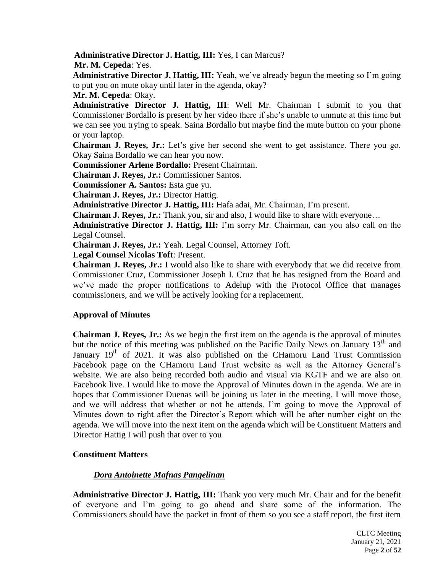**Administrative Director J. Hattig, III:** Yes, I can Marcus?

**Mr. M. Cepeda**: Yes.

**Administrative Director J. Hattig, III:** Yeah, we've already begun the meeting so I'm going to put you on mute okay until later in the agenda, okay?

**Mr. M. Cepeda**: Okay.

**Administrative Director J. Hattig, III**: Well Mr. Chairman I submit to you that Commissioner Bordallo is present by her video there if she's unable to unmute at this time but we can see you trying to speak. Saina Bordallo but maybe find the mute button on your phone or your laptop.

**Chairman J. Reyes, Jr.:** Let's give her second she went to get assistance. There you go. Okay Saina Bordallo we can hear you now.

**Commissioner Arlene Bordallo:** Present Chairman.

**Chairman J. Reyes, Jr.:** Commissioner Santos.

**Commissioner A. Santos:** Esta gue yu.

**Chairman J. Reyes, Jr.:** Director Hattig.

**Administrative Director J. Hattig, III:** Hafa adai, Mr. Chairman, I'm present.

**Chairman J. Reyes, Jr.:** Thank you, sir and also, I would like to share with everyone…

**Administrative Director J. Hattig, III:** I'm sorry Mr. Chairman, can you also call on the Legal Counsel.

**Chairman J. Reyes, Jr.:** Yeah. Legal Counsel, Attorney Toft.

**Legal Counsel Nicolas Toft**: Present.

**Chairman J. Reyes, Jr.:** I would also like to share with everybody that we did receive from Commissioner Cruz, Commissioner Joseph I. Cruz that he has resigned from the Board and we've made the proper notifications to Adelup with the Protocol Office that manages commissioners, and we will be actively looking for a replacement.

# **Approval of Minutes**

**Chairman J. Reyes, Jr.:** As we begin the first item on the agenda is the approval of minutes but the notice of this meeting was published on the Pacific Daily News on January  $13<sup>th</sup>$  and January  $19<sup>th</sup>$  of 2021. It was also published on the CHamoru Land Trust Commission Facebook page on the CHamoru Land Trust website as well as the Attorney General's website. We are also being recorded both audio and visual via KGTF and we are also on Facebook live. I would like to move the Approval of Minutes down in the agenda. We are in hopes that Commissioner Duenas will be joining us later in the meeting. I will move those, and we will address that whether or not he attends. I'm going to move the Approval of Minutes down to right after the Director's Report which will be after number eight on the agenda. We will move into the next item on the agenda which will be Constituent Matters and Director Hattig I will push that over to you

# **Constituent Matters**

# *Dora Antoinette Mafnas Pangelinan*

**Administrative Director J. Hattig, III:** Thank you very much Mr. Chair and for the benefit of everyone and I'm going to go ahead and share some of the information. The Commissioners should have the packet in front of them so you see a staff report, the first item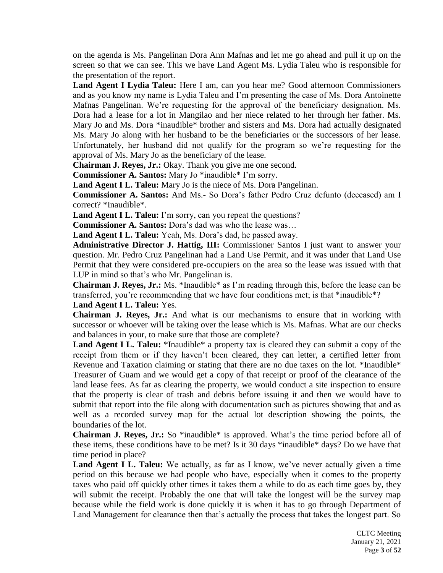on the agenda is Ms. Pangelinan Dora Ann Mafnas and let me go ahead and pull it up on the screen so that we can see. This we have Land Agent Ms. Lydia Taleu who is responsible for the presentation of the report.

**Land Agent I Lydia Taleu:** Here I am, can you hear me? Good afternoon Commissioners and as you know my name is Lydia Taleu and I'm presenting the case of Ms. Dora Antoinette Mafnas Pangelinan. We're requesting for the approval of the beneficiary designation. Ms. Dora had a lease for a lot in Mangilao and her niece related to her through her father. Ms. Mary Jo and Ms. Dora \*inaudible\* brother and sisters and Ms. Dora had actually designated Ms. Mary Jo along with her husband to be the beneficiaries or the successors of her lease. Unfortunately, her husband did not qualify for the program so we're requesting for the approval of Ms. Mary Jo as the beneficiary of the lease.

**Chairman J. Reyes, Jr.:** Okay. Thank you give me one second.

**Commissioner A. Santos:** Mary Jo \*inaudible\* I'm sorry.

**Land Agent I L. Taleu:** Mary Jo is the niece of Ms. Dora Pangelinan.

**Commissioner A. Santos:** And Ms.- So Dora's father Pedro Cruz defunto (deceased) am I correct? \*Inaudible\*.

**Land Agent I L. Taleu:** I'm sorry, can you repeat the questions?

**Commissioner A. Santos:** Dora's dad was who the lease was…

**Land Agent I L. Taleu:** Yeah, Ms. Dora's dad, he passed away.

**Administrative Director J. Hattig, III:** Commissioner Santos I just want to answer your question. Mr. Pedro Cruz Pangelinan had a Land Use Permit, and it was under that Land Use Permit that they were considered pre-occupiers on the area so the lease was issued with that LUP in mind so that's who Mr. Pangelinan is.

**Chairman J. Reyes, Jr.:** Ms. \*Inaudible\* as I'm reading through this, before the lease can be transferred, you're recommending that we have four conditions met; is that \*inaudible\*?

**Land Agent I L. Taleu:** Yes.

**Chairman J. Reyes, Jr.:** And what is our mechanisms to ensure that in working with successor or whoever will be taking over the lease which is Ms. Mafnas. What are our checks and balances in your, to make sure that those are complete?

Land Agent I L. Taleu: \*Inaudible\* a property tax is cleared they can submit a copy of the receipt from them or if they haven't been cleared, they can letter, a certified letter from Revenue and Taxation claiming or stating that there are no due taxes on the lot. \*Inaudible\* Treasurer of Guam and we would get a copy of that receipt or proof of the clearance of the land lease fees. As far as clearing the property, we would conduct a site inspection to ensure that the property is clear of trash and debris before issuing it and then we would have to submit that report into the file along with documentation such as pictures showing that and as well as a recorded survey map for the actual lot description showing the points, the boundaries of the lot.

**Chairman J. Reyes, Jr.:** So \*inaudible\* is approved. What's the time period before all of these items, these conditions have to be met? Is it 30 days \*inaudible\* days? Do we have that time period in place?

Land Agent I L. Taleu: We actually, as far as I know, we've never actually given a time period on this because we had people who have, especially when it comes to the property taxes who paid off quickly other times it takes them a while to do as each time goes by, they will submit the receipt. Probably the one that will take the longest will be the survey map because while the field work is done quickly it is when it has to go through Department of Land Management for clearance then that's actually the process that takes the longest part. So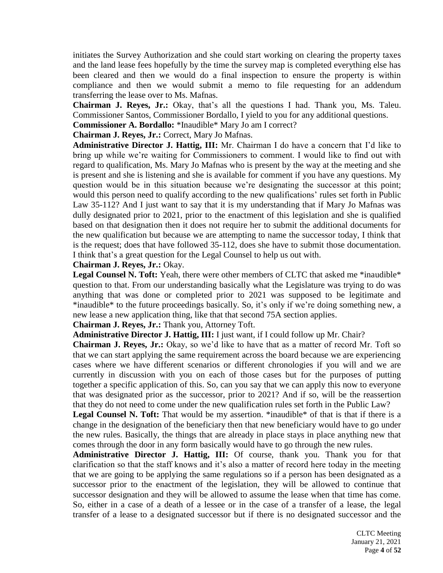initiates the Survey Authorization and she could start working on clearing the property taxes and the land lease fees hopefully by the time the survey map is completed everything else has been cleared and then we would do a final inspection to ensure the property is within compliance and then we would submit a memo to file requesting for an addendum transferring the lease over to Ms. Mafnas.

**Chairman J. Reyes, Jr.:** Okay, that's all the questions I had. Thank you, Ms. Taleu. Commissioner Santos, Commissioner Bordallo, I yield to you for any additional questions.

**Commissioner A. Bordallo:** \*Inaudible\* Mary Jo am I correct?

**Chairman J. Reyes, Jr.:** Correct, Mary Jo Mafnas.

**Administrative Director J. Hattig, III:** Mr. Chairman I do have a concern that I'd like to bring up while we're waiting for Commissioners to comment. I would like to find out with regard to qualification, Ms. Mary Jo Mafnas who is present by the way at the meeting and she is present and she is listening and she is available for comment if you have any questions. My question would be in this situation because we're designating the successor at this point; would this person need to qualify according to the new qualifications' rules set forth in Public Law 35-112? And I just want to say that it is my understanding that if Mary Jo Mafnas was dully designated prior to 2021, prior to the enactment of this legislation and she is qualified based on that designation then it does not require her to submit the additional documents for the new qualification but because we are attempting to name the successor today, I think that is the request; does that have followed 35-112, does she have to submit those documentation. I think that's a great question for the Legal Counsel to help us out with.

**Chairman J. Reyes, Jr.:** Okay.

**Legal Counsel N. Toft:** Yeah, there were other members of CLTC that asked me \*inaudible\* question to that. From our understanding basically what the Legislature was trying to do was anything that was done or completed prior to 2021 was supposed to be legitimate and \*inaudible\* to the future proceedings basically. So, it's only if we're doing something new, a new lease a new application thing, like that that second 75A section applies.

**Chairman J. Reyes, Jr.:** Thank you, Attorney Toft.

**Administrative Director J. Hattig, III:** I just want, if I could follow up Mr. Chair?

**Chairman J. Reyes, Jr.:** Okay, so we'd like to have that as a matter of record Mr. Toft so that we can start applying the same requirement across the board because we are experiencing cases where we have different scenarios or different chronologies if you will and we are currently in discussion with you on each of those cases but for the purposes of putting together a specific application of this. So, can you say that we can apply this now to everyone that was designated prior as the successor, prior to 2021? And if so, will be the reassertion that they do not need to come under the new qualification rules set forth in the Public Law?

Legal Counsel N. Toft: That would be my assertion. \*inaudible\* of that is that if there is a change in the designation of the beneficiary then that new beneficiary would have to go under the new rules. Basically, the things that are already in place stays in place anything new that comes through the door in any form basically would have to go through the new rules.

**Administrative Director J. Hattig, III:** Of course, thank you. Thank you for that clarification so that the staff knows and it's also a matter of record here today in the meeting that we are going to be applying the same regulations so if a person has been designated as a successor prior to the enactment of the legislation, they will be allowed to continue that successor designation and they will be allowed to assume the lease when that time has come. So, either in a case of a death of a lessee or in the case of a transfer of a lease, the legal transfer of a lease to a designated successor but if there is no designated successor and the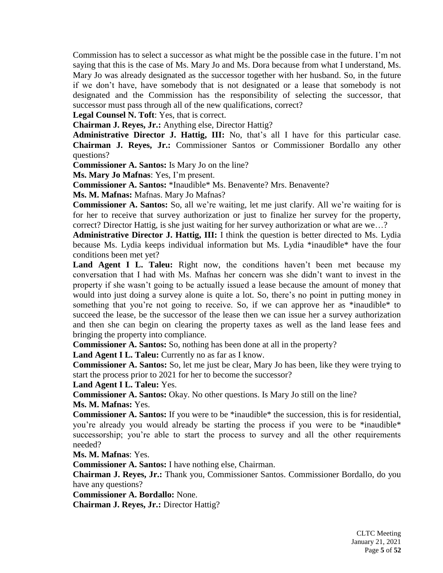Commission has to select a successor as what might be the possible case in the future. I'm not saying that this is the case of Ms. Mary Jo and Ms. Dora because from what I understand, Ms. Mary Jo was already designated as the successor together with her husband. So, in the future if we don't have, have somebody that is not designated or a lease that somebody is not designated and the Commission has the responsibility of selecting the successor, that successor must pass through all of the new qualifications, correct?

**Legal Counsel N. Toft**: Yes, that is correct.

**Chairman J. Reyes, Jr.:** Anything else, Director Hattig?

**Administrative Director J. Hattig, III:** No, that's all I have for this particular case. **Chairman J. Reyes, Jr.:** Commissioner Santos or Commissioner Bordallo any other questions?

**Commissioner A. Santos:** Is Mary Jo on the line?

**Ms. Mary Jo Mafnas**: Yes, I'm present.

**Commissioner A. Santos:** \*Inaudible\* Ms. Benavente? Mrs. Benavente?

**Ms. M. Mafnas:** Mafnas. Mary Jo Mafnas?

**Commissioner A. Santos:** So, all we're waiting, let me just clarify. All we're waiting for is for her to receive that survey authorization or just to finalize her survey for the property, correct? Director Hattig, is she just waiting for her survey authorization or what are we…?

**Administrative Director J. Hattig, III:** I think the question is better directed to Ms. Lydia because Ms. Lydia keeps individual information but Ms. Lydia \*inaudible\* have the four conditions been met yet?

Land Agent I L. Taleu: Right now, the conditions haven't been met because my conversation that I had with Ms. Mafnas her concern was she didn't want to invest in the property if she wasn't going to be actually issued a lease because the amount of money that would into just doing a survey alone is quite a lot. So, there's no point in putting money in something that you're not going to receive. So, if we can approve her as \*inaudible\* to succeed the lease, be the successor of the lease then we can issue her a survey authorization and then she can begin on clearing the property taxes as well as the land lease fees and bringing the property into compliance.

**Commissioner A. Santos:** So, nothing has been done at all in the property?

**Land Agent I L. Taleu:** Currently no as far as I know.

**Commissioner A. Santos:** So, let me just be clear, Mary Jo has been, like they were trying to start the process prior to 2021 for her to become the successor?

**Land Agent I L. Taleu:** Yes.

**Commissioner A. Santos:** Okay. No other questions. Is Mary Jo still on the line? **Ms. M. Mafnas:** Yes.

**Commissioner A. Santos:** If you were to be \*inaudible\* the succession, this is for residential, you're already you would already be starting the process if you were to be \*inaudible\* successorship; you're able to start the process to survey and all the other requirements needed?

**Ms. M. Mafnas**: Yes.

**Commissioner A. Santos:** I have nothing else, Chairman.

**Chairman J. Reyes, Jr.:** Thank you, Commissioner Santos. Commissioner Bordallo, do you have any questions?

**Commissioner A. Bordallo:** None.

**Chairman J. Reyes, Jr.:** Director Hattig?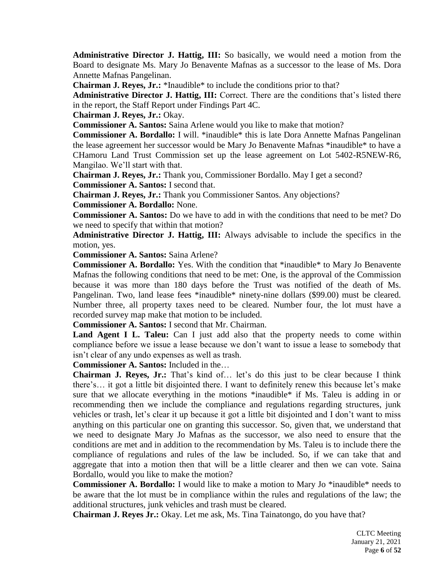**Administrative Director J. Hattig, III:** So basically, we would need a motion from the Board to designate Ms. Mary Jo Benavente Mafnas as a successor to the lease of Ms. Dora Annette Mafnas Pangelinan.

**Chairman J. Reyes, Jr.:** \*Inaudible\* to include the conditions prior to that?

**Administrative Director J. Hattig, III:** Correct. There are the conditions that's listed there in the report, the Staff Report under Findings Part 4C.

**Chairman J. Reyes, Jr.:** Okay.

**Commissioner A. Santos:** Saina Arlene would you like to make that motion?

**Commissioner A. Bordallo:** I will. \*inaudible\* this is late Dora Annette Mafnas Pangelinan the lease agreement her successor would be Mary Jo Benavente Mafnas \*inaudible\* to have a CHamoru Land Trust Commission set up the lease agreement on Lot 5402-R5NEW-R6, Mangilao. We'll start with that.

**Chairman J. Reyes, Jr.:** Thank you, Commissioner Bordallo. May I get a second? **Commissioner A. Santos:** I second that.

**Chairman J. Reyes, Jr.:** Thank you Commissioner Santos. Any objections?

**Commissioner A. Bordallo:** None.

**Commissioner A. Santos:** Do we have to add in with the conditions that need to be met? Do we need to specify that within that motion?

**Administrative Director J. Hattig, III:** Always advisable to include the specifics in the motion, yes.

**Commissioner A. Santos:** Saina Arlene?

**Commissioner A. Bordallo:** Yes. With the condition that \*inaudible\* to Mary Jo Benavente Mafnas the following conditions that need to be met: One, is the approval of the Commission because it was more than 180 days before the Trust was notified of the death of Ms. Pangelinan. Two, land lease fees \*inaudible\* ninety-nine dollars (\$99.00) must be cleared. Number three, all property taxes need to be cleared. Number four, the lot must have a recorded survey map make that motion to be included.

**Commissioner A. Santos:** I second that Mr. Chairman.

Land Agent I L. Taleu: Can I just add also that the property needs to come within compliance before we issue a lease because we don't want to issue a lease to somebody that isn't clear of any undo expenses as well as trash.

**Commissioner A. Santos:** Included in the…

**Chairman J. Reyes, Jr.:** That's kind of… let's do this just to be clear because I think there's… it got a little bit disjointed there. I want to definitely renew this because let's make sure that we allocate everything in the motions \*inaudible\* if Ms. Taleu is adding in or recommending then we include the compliance and regulations regarding structures, junk vehicles or trash, let's clear it up because it got a little bit disjointed and I don't want to miss anything on this particular one on granting this successor. So, given that, we understand that we need to designate Mary Jo Mafnas as the successor, we also need to ensure that the conditions are met and in addition to the recommendation by Ms. Taleu is to include there the compliance of regulations and rules of the law be included. So, if we can take that and aggregate that into a motion then that will be a little clearer and then we can vote. Saina Bordallo, would you like to make the motion?

**Commissioner A. Bordallo:** I would like to make a motion to Mary Jo \*inaudible\* needs to be aware that the lot must be in compliance within the rules and regulations of the law; the additional structures, junk vehicles and trash must be cleared.

**Chairman J. Reyes Jr.:** Okay. Let me ask, Ms. Tina Tainatongo, do you have that?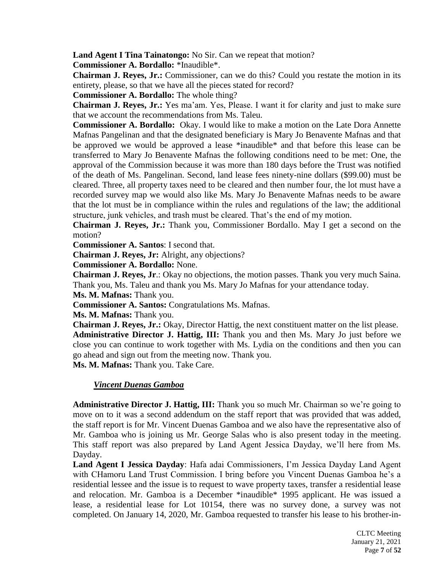**Land Agent I Tina Tainatongo:** No Sir. Can we repeat that motion?

**Commissioner A. Bordallo:** \*Inaudible\*.

**Chairman J. Reyes, Jr.:** Commissioner, can we do this? Could you restate the motion in its entirety, please, so that we have all the pieces stated for record?

**Commissioner A. Bordallo:** The whole thing?

**Chairman J. Reyes, Jr.:** Yes ma'am. Yes, Please. I want it for clarity and just to make sure that we account the recommendations from Ms. Taleu.

**Commissioner A. Bordallo:** Okay. I would like to make a motion on the Late Dora Annette Mafnas Pangelinan and that the designated beneficiary is Mary Jo Benavente Mafnas and that be approved we would be approved a lease \*inaudible\* and that before this lease can be transferred to Mary Jo Benavente Mafnas the following conditions need to be met: One, the approval of the Commission because it was more than 180 days before the Trust was notified of the death of Ms. Pangelinan. Second, land lease fees ninety-nine dollars (\$99.00) must be cleared. Three, all property taxes need to be cleared and then number four, the lot must have a recorded survey map we would also like Ms. Mary Jo Benavente Mafnas needs to be aware that the lot must be in compliance within the rules and regulations of the law; the additional structure, junk vehicles, and trash must be cleared. That's the end of my motion.

**Chairman J. Reyes, Jr.:** Thank you, Commissioner Bordallo. May I get a second on the motion?

**Commissioner A. Santos**: I second that.

**Chairman J. Reyes, Jr:** Alright, any objections?

**Commissioner A. Bordallo:** None.

**Chairman J. Reyes, Jr**.: Okay no objections, the motion passes. Thank you very much Saina. Thank you, Ms. Taleu and thank you Ms. Mary Jo Mafnas for your attendance today.

**Ms. M. Mafnas:** Thank you.

**Commissioner A. Santos:** Congratulations Ms. Mafnas.

**Ms. M. Mafnas:** Thank you.

**Chairman J. Reyes, Jr.:** Okay, Director Hattig, the next constituent matter on the list please. **Administrative Director J. Hattig, III:** Thank you and then Ms. Mary Jo just before we close you can continue to work together with Ms. Lydia on the conditions and then you can go ahead and sign out from the meeting now. Thank you.

**Ms. M. Mafnas:** Thank you. Take Care.

# *Vincent Duenas Gamboa*

**Administrative Director J. Hattig, III:** Thank you so much Mr. Chairman so we're going to move on to it was a second addendum on the staff report that was provided that was added, the staff report is for Mr. Vincent Duenas Gamboa and we also have the representative also of Mr. Gamboa who is joining us Mr. George Salas who is also present today in the meeting. This staff report was also prepared by Land Agent Jessica Dayday, we'll here from Ms. Dayday.

**Land Agent I Jessica Dayday**: Hafa adai Commissioners, I'm Jessica Dayday Land Agent with CHamoru Land Trust Commission. I bring before you Vincent Duenas Gamboa he's a residential lessee and the issue is to request to wave property taxes, transfer a residential lease and relocation. Mr. Gamboa is a December \*inaudible\* 1995 applicant. He was issued a lease, a residential lease for Lot 10154, there was no survey done, a survey was not completed. On January 14, 2020, Mr. Gamboa requested to transfer his lease to his brother-in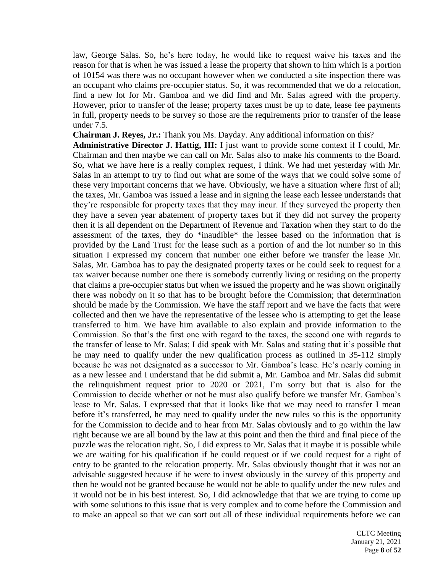law, George Salas. So, he's here today, he would like to request waive his taxes and the reason for that is when he was issued a lease the property that shown to him which is a portion of 10154 was there was no occupant however when we conducted a site inspection there was an occupant who claims pre-occupier status. So, it was recommended that we do a relocation, find a new lot for Mr. Gamboa and we did find and Mr. Salas agreed with the property. However, prior to transfer of the lease; property taxes must be up to date, lease fee payments in full, property needs to be survey so those are the requirements prior to transfer of the lease under 7.5.

**Chairman J. Reyes, Jr.:** Thank you Ms. Dayday. Any additional information on this?

**Administrative Director J. Hattig, III:** I just want to provide some context if I could, Mr. Chairman and then maybe we can call on Mr. Salas also to make his comments to the Board. So, what we have here is a really complex request, I think. We had met yesterday with Mr. Salas in an attempt to try to find out what are some of the ways that we could solve some of these very important concerns that we have. Obviously, we have a situation where first of all; the taxes, Mr. Gamboa was issued a lease and in signing the lease each lessee understands that they're responsible for property taxes that they may incur. If they surveyed the property then they have a seven year abatement of property taxes but if they did not survey the property then it is all dependent on the Department of Revenue and Taxation when they start to do the assessment of the taxes, they do \*inaudible\* the lessee based on the information that is provided by the Land Trust for the lease such as a portion of and the lot number so in this situation I expressed my concern that number one either before we transfer the lease Mr. Salas, Mr. Gamboa has to pay the designated property taxes or he could seek to request for a tax waiver because number one there is somebody currently living or residing on the property that claims a pre-occupier status but when we issued the property and he was shown originally there was nobody on it so that has to be brought before the Commission; that determination should be made by the Commission. We have the staff report and we have the facts that were collected and then we have the representative of the lessee who is attempting to get the lease transferred to him. We have him available to also explain and provide information to the Commission. So that's the first one with regard to the taxes, the second one with regards to the transfer of lease to Mr. Salas; I did speak with Mr. Salas and stating that it's possible that he may need to qualify under the new qualification process as outlined in 35-112 simply because he was not designated as a successor to Mr. Gamboa's lease. He's nearly coming in as a new lessee and I understand that he did submit a, Mr. Gamboa and Mr. Salas did submit the relinquishment request prior to 2020 or 2021, I'm sorry but that is also for the Commission to decide whether or not he must also qualify before we transfer Mr. Gamboa's lease to Mr. Salas. I expressed that that it looks like that we may need to transfer I mean before it's transferred, he may need to qualify under the new rules so this is the opportunity for the Commission to decide and to hear from Mr. Salas obviously and to go within the law right because we are all bound by the law at this point and then the third and final piece of the puzzle was the relocation right. So, I did express to Mr. Salas that it maybe it is possible while we are waiting for his qualification if he could request or if we could request for a right of entry to be granted to the relocation property. Mr. Salas obviously thought that it was not an advisable suggested because if he were to invest obviously in the survey of this property and then he would not be granted because he would not be able to qualify under the new rules and it would not be in his best interest. So, I did acknowledge that that we are trying to come up with some solutions to this issue that is very complex and to come before the Commission and to make an appeal so that we can sort out all of these individual requirements before we can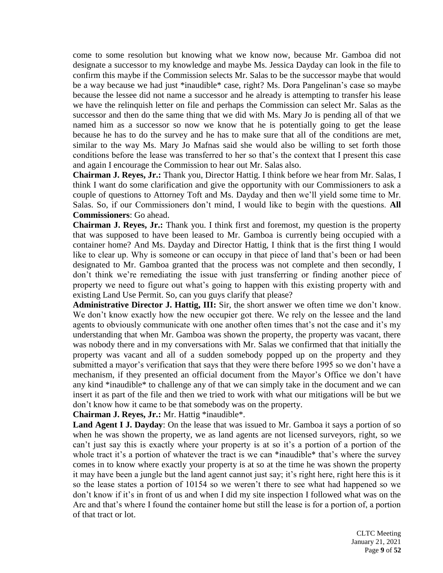come to some resolution but knowing what we know now, because Mr. Gamboa did not designate a successor to my knowledge and maybe Ms. Jessica Dayday can look in the file to confirm this maybe if the Commission selects Mr. Salas to be the successor maybe that would be a way because we had just \*inaudible\* case, right? Ms. Dora Pangelinan's case so maybe because the lessee did not name a successor and he already is attempting to transfer his lease we have the relinquish letter on file and perhaps the Commission can select Mr. Salas as the successor and then do the same thing that we did with Ms. Mary Jo is pending all of that we named him as a successor so now we know that he is potentially going to get the lease because he has to do the survey and he has to make sure that all of the conditions are met, similar to the way Ms. Mary Jo Mafnas said she would also be willing to set forth those conditions before the lease was transferred to her so that's the context that I present this case and again I encourage the Commission to hear out Mr. Salas also.

**Chairman J. Reyes, Jr.:** Thank you, Director Hattig. I think before we hear from Mr. Salas, I think I want do some clarification and give the opportunity with our Commissioners to ask a couple of questions to Attorney Toft and Ms. Dayday and then we'll yield some time to Mr. Salas. So, if our Commissioners don't mind, I would like to begin with the questions. **All Commissioners**: Go ahead.

**Chairman J. Reyes, Jr.:** Thank you. I think first and foremost, my question is the property that was supposed to have been leased to Mr. Gamboa is currently being occupied with a container home? And Ms. Dayday and Director Hattig, I think that is the first thing I would like to clear up. Why is someone or can occupy in that piece of land that's been or had been designated to Mr. Gamboa granted that the process was not complete and then secondly, I don't think we're remediating the issue with just transferring or finding another piece of property we need to figure out what's going to happen with this existing property with and existing Land Use Permit. So, can you guys clarify that please?

**Administrative Director J. Hattig, III:** Sir, the short answer we often time we don't know. We don't know exactly how the new occupier got there. We rely on the lessee and the land agents to obviously communicate with one another often times that's not the case and it's my understanding that when Mr. Gamboa was shown the property, the property was vacant, there was nobody there and in my conversations with Mr. Salas we confirmed that that initially the property was vacant and all of a sudden somebody popped up on the property and they submitted a mayor's verification that says that they were there before 1995 so we don't have a mechanism, if they presented an official document from the Mayor's Office we don't have any kind \*inaudible\* to challenge any of that we can simply take in the document and we can insert it as part of the file and then we tried to work with what our mitigations will be but we don't know how it came to be that somebody was on the property.

**Chairman J. Reyes, Jr.:** Mr. Hattig \*inaudible\*.

**Land Agent I J. Dayday**: On the lease that was issued to Mr. Gamboa it says a portion of so when he was shown the property, we as land agents are not licensed surveyors, right, so we can't just say this is exactly where your property is at so it's a portion of a portion of the whole tract it's a portion of whatever the tract is we can \*inaudible\* that's where the survey comes in to know where exactly your property is at so at the time he was shown the property it may have been a jungle but the land agent cannot just say; it's right here, right here this is it so the lease states a portion of 10154 so we weren't there to see what had happened so we don't know if it's in front of us and when I did my site inspection I followed what was on the Arc and that's where I found the container home but still the lease is for a portion of, a portion of that tract or lot.

> CLTC Meeting January 21, 2021 Page **9** of **52**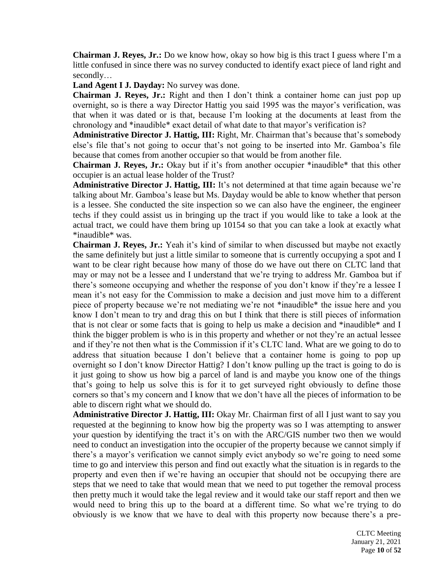**Chairman J. Reyes, Jr.:** Do we know how, okay so how big is this tract I guess where I'm a little confused in since there was no survey conducted to identify exact piece of land right and secondly…

**Land Agent I J. Dayday:** No survey was done.

**Chairman J. Reyes, Jr.:** Right and then I don't think a container home can just pop up overnight, so is there a way Director Hattig you said 1995 was the mayor's verification, was that when it was dated or is that, because I'm looking at the documents at least from the chronology and \*inaudible\* exact detail of what date to that mayor's verification is?

**Administrative Director J. Hattig, III:** Right, Mr. Chairman that's because that's somebody else's file that's not going to occur that's not going to be inserted into Mr. Gamboa's file because that comes from another occupier so that would be from another file.

**Chairman J. Reyes, Jr.:** Okay but if it's from another occupier \*inaudible\* that this other occupier is an actual lease holder of the Trust?

Administrative Director J. Hattig, III: It's not determined at that time again because we're talking about Mr. Gamboa's lease but Ms. Dayday would be able to know whether that person is a lessee. She conducted the site inspection so we can also have the engineer, the engineer techs if they could assist us in bringing up the tract if you would like to take a look at the actual tract, we could have them bring up 10154 so that you can take a look at exactly what \*inaudible\* was.

**Chairman J. Reyes, Jr.:** Yeah it's kind of similar to when discussed but maybe not exactly the same definitely but just a little similar to someone that is currently occupying a spot and I want to be clear right because how many of those do we have out there on CLTC land that may or may not be a lessee and I understand that we're trying to address Mr. Gamboa but if there's someone occupying and whether the response of you don't know if they're a lessee I mean it's not easy for the Commission to make a decision and just move him to a different piece of property because we're not mediating we're not \*inaudible\* the issue here and you know I don't mean to try and drag this on but I think that there is still pieces of information that is not clear or some facts that is going to help us make a decision and \*inaudible\* and I think the bigger problem is who is in this property and whether or not they're an actual lessee and if they're not then what is the Commission if it's CLTC land. What are we going to do to address that situation because I don't believe that a container home is going to pop up overnight so I don't know Director Hattig? I don't know pulling up the tract is going to do is it just going to show us how big a parcel of land is and maybe you know one of the things that's going to help us solve this is for it to get surveyed right obviously to define those corners so that's my concern and I know that we don't have all the pieces of information to be able to discern right what we should do.

**Administrative Director J. Hattig, III:** Okay Mr. Chairman first of all I just want to say you requested at the beginning to know how big the property was so I was attempting to answer your question by identifying the tract it's on with the ARC/GIS number two then we would need to conduct an investigation into the occupier of the property because we cannot simply if there's a mayor's verification we cannot simply evict anybody so we're going to need some time to go and interview this person and find out exactly what the situation is in regards to the property and even then if we're having an occupier that should not be occupying there are steps that we need to take that would mean that we need to put together the removal process then pretty much it would take the legal review and it would take our staff report and then we would need to bring this up to the board at a different time. So what we're trying to do obviously is we know that we have to deal with this property now because there's a pre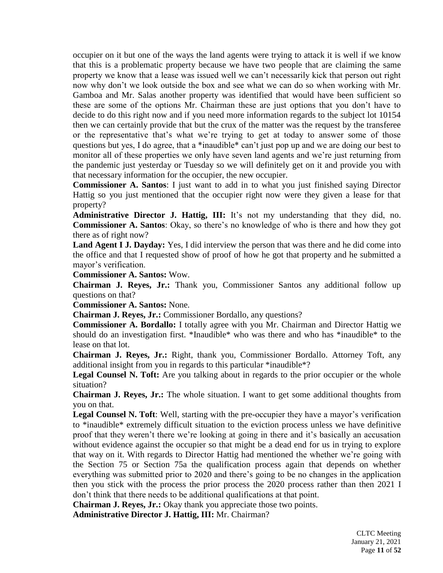occupier on it but one of the ways the land agents were trying to attack it is well if we know that this is a problematic property because we have two people that are claiming the same property we know that a lease was issued well we can't necessarily kick that person out right now why don't we look outside the box and see what we can do so when working with Mr. Gamboa and Mr. Salas another property was identified that would have been sufficient so these are some of the options Mr. Chairman these are just options that you don't have to decide to do this right now and if you need more information regards to the subject lot 10154 then we can certainly provide that but the crux of the matter was the request by the transferee or the representative that's what we're trying to get at today to answer some of those questions but yes, I do agree, that a \*inaudible\* can't just pop up and we are doing our best to monitor all of these properties we only have seven land agents and we're just returning from the pandemic just yesterday or Tuesday so we will definitely get on it and provide you with that necessary information for the occupier, the new occupier.

**Commissioner A. Santos**: I just want to add in to what you just finished saying Director Hattig so you just mentioned that the occupier right now were they given a lease for that property?

**Administrative Director J. Hattig, III:** It's not my understanding that they did, no. **Commissioner A. Santos**: Okay, so there's no knowledge of who is there and how they got there as of right now?

**Land Agent I J. Dayday:** Yes, I did interview the person that was there and he did come into the office and that I requested show of proof of how he got that property and he submitted a mayor's verification.

**Commissioner A. Santos:** Wow.

**Chairman J. Reyes, Jr.:** Thank you, Commissioner Santos any additional follow up questions on that?

**Commissioner A. Santos:** None.

**Chairman J. Reyes, Jr.:** Commissioner Bordallo, any questions?

**Commissioner A. Bordallo:** I totally agree with you Mr. Chairman and Director Hattig we should do an investigation first. \*Inaudible\* who was there and who has \*inaudible\* to the lease on that lot.

**Chairman J. Reyes, Jr.:** Right, thank you, Commissioner Bordallo. Attorney Toft, any additional insight from you in regards to this particular \*inaudible\*?

Legal Counsel N. Toft: Are you talking about in regards to the prior occupier or the whole situation?

**Chairman J. Reyes, Jr.:** The whole situation. I want to get some additional thoughts from you on that.

**Legal Counsel N. Toft**: Well, starting with the pre-occupier they have a mayor's verification to \*inaudible\* extremely difficult situation to the eviction process unless we have definitive proof that they weren't there we're looking at going in there and it's basically an accusation without evidence against the occupier so that might be a dead end for us in trying to explore that way on it. With regards to Director Hattig had mentioned the whether we're going with the Section 75 or Section 75a the qualification process again that depends on whether everything was submitted prior to 2020 and there's going to be no changes in the application then you stick with the process the prior process the 2020 process rather than then 2021 I don't think that there needs to be additional qualifications at that point.

**Chairman J. Reyes, Jr.:** Okay thank you appreciate those two points.

**Administrative Director J. Hattig, III:** Mr. Chairman?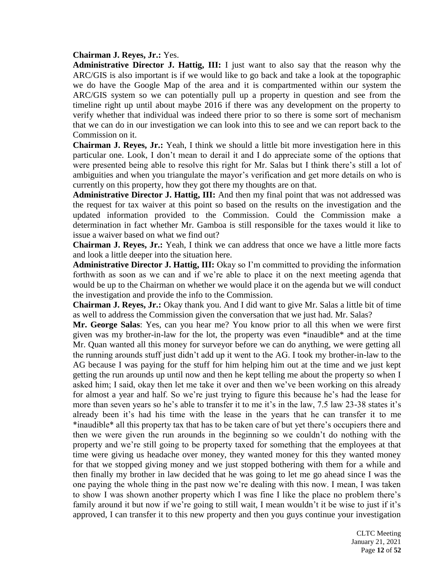#### **Chairman J. Reyes, Jr.:** Yes.

**Administrative Director J. Hattig, III:** I just want to also say that the reason why the ARC/GIS is also important is if we would like to go back and take a look at the topographic we do have the Google Map of the area and it is compartmented within our system the ARC/GIS system so we can potentially pull up a property in question and see from the timeline right up until about maybe 2016 if there was any development on the property to verify whether that individual was indeed there prior to so there is some sort of mechanism that we can do in our investigation we can look into this to see and we can report back to the Commission on it.

**Chairman J. Reyes, Jr.:** Yeah, I think we should a little bit more investigation here in this particular one. Look, I don't mean to derail it and I do appreciate some of the options that were presented being able to resolve this right for Mr. Salas but I think there's still a lot of ambiguities and when you triangulate the mayor's verification and get more details on who is currently on this property, how they got there my thoughts are on that.

**Administrative Director J. Hattig, III:** And then my final point that was not addressed was the request for tax waiver at this point so based on the results on the investigation and the updated information provided to the Commission. Could the Commission make a determination in fact whether Mr. Gamboa is still responsible for the taxes would it like to issue a waiver based on what we find out?

**Chairman J. Reyes, Jr.:** Yeah, I think we can address that once we have a little more facts and look a little deeper into the situation here.

**Administrative Director J. Hattig, III:** Okay so I'm committed to providing the information forthwith as soon as we can and if we're able to place it on the next meeting agenda that would be up to the Chairman on whether we would place it on the agenda but we will conduct the investigation and provide the info to the Commission.

**Chairman J. Reyes, Jr.:** Okay thank you. And I did want to give Mr. Salas a little bit of time as well to address the Commission given the conversation that we just had. Mr. Salas?

**Mr. George Salas**: Yes, can you hear me? You know prior to all this when we were first given was my brother-in-law for the lot, the property was even \*inaudible\* and at the time Mr. Quan wanted all this money for surveyor before we can do anything, we were getting all the running arounds stuff just didn't add up it went to the AG. I took my brother-in-law to the AG because I was paying for the stuff for him helping him out at the time and we just kept getting the run arounds up until now and then he kept telling me about the property so when I asked him; I said, okay then let me take it over and then we've been working on this already for almost a year and half. So we're just trying to figure this because he's had the lease for more than seven years so he's able to transfer it to me it's in the law, 7.5 law 23-38 states it's already been it's had his time with the lease in the years that he can transfer it to me \*inaudible\* all this property tax that has to be taken care of but yet there's occupiers there and then we were given the run arounds in the beginning so we couldn't do nothing with the property and we're still going to be property taxed for something that the employees at that time were giving us headache over money, they wanted money for this they wanted money for that we stopped giving money and we just stopped bothering with them for a while and then finally my brother in law decided that he was going to let me go ahead since I was the one paying the whole thing in the past now we're dealing with this now. I mean, I was taken to show I was shown another property which I was fine I like the place no problem there's family around it but now if we're going to still wait, I mean wouldn't it be wise to just if it's approved, I can transfer it to this new property and then you guys continue your investigation

> CLTC Meeting January 21, 2021 Page **12** of **52**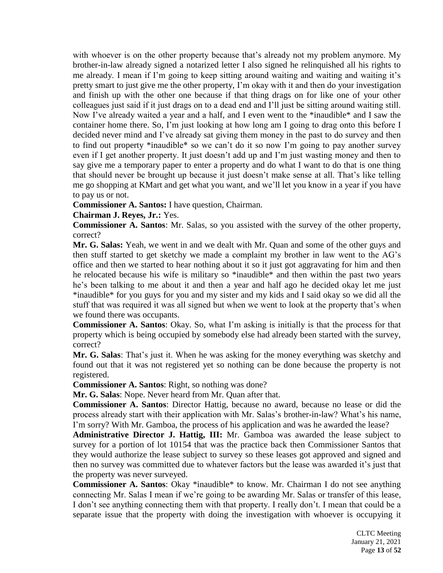with whoever is on the other property because that's already not my problem anymore. My brother-in-law already signed a notarized letter I also signed he relinquished all his rights to me already. I mean if I'm going to keep sitting around waiting and waiting and waiting it's pretty smart to just give me the other property, I'm okay with it and then do your investigation and finish up with the other one because if that thing drags on for like one of your other colleagues just said if it just drags on to a dead end and I'll just be sitting around waiting still. Now I've already waited a year and a half, and I even went to the \*inaudible\* and I saw the container home there. So, I'm just looking at how long am I going to drag onto this before I decided never mind and I've already sat giving them money in the past to do survey and then to find out property \*inaudible\* so we can't do it so now I'm going to pay another survey even if I get another property. It just doesn't add up and I'm just wasting money and then to say give me a temporary paper to enter a property and do what I want to do that is one thing that should never be brought up because it just doesn't make sense at all. That's like telling me go shopping at KMart and get what you want, and we'll let you know in a year if you have to pay us or not.

**Commissioner A. Santos:** I have question, Chairman.

**Chairman J. Reyes, Jr.:** Yes.

**Commissioner A. Santos**: Mr. Salas, so you assisted with the survey of the other property, correct?

**Mr. G. Salas:** Yeah, we went in and we dealt with Mr. Quan and some of the other guys and then stuff started to get sketchy we made a complaint my brother in law went to the AG's office and then we started to hear nothing about it so it just got aggravating for him and then he relocated because his wife is military so \*inaudible\* and then within the past two years he's been talking to me about it and then a year and half ago he decided okay let me just \*inaudible\* for you guys for you and my sister and my kids and I said okay so we did all the stuff that was required it was all signed but when we went to look at the property that's when we found there was occupants.

**Commissioner A. Santos**: Okay. So, what I'm asking is initially is that the process for that property which is being occupied by somebody else had already been started with the survey, correct?

**Mr. G. Salas**: That's just it. When he was asking for the money everything was sketchy and found out that it was not registered yet so nothing can be done because the property is not registered.

**Commissioner A. Santos**: Right, so nothing was done?

**Mr. G. Salas**: Nope. Never heard from Mr. Quan after that.

**Commissioner A. Santos**: Director Hattig, because no award, because no lease or did the process already start with their application with Mr. Salas's brother-in-law? What's his name, I'm sorry? With Mr. Gamboa, the process of his application and was he awarded the lease?

**Administrative Director J. Hattig, III:** Mr. Gamboa was awarded the lease subject to survey for a portion of lot 10154 that was the practice back then Commissioner Santos that they would authorize the lease subject to survey so these leases got approved and signed and then no survey was committed due to whatever factors but the lease was awarded it's just that the property was never surveyed.

**Commissioner A. Santos**: Okay \*inaudible\* to know. Mr. Chairman I do not see anything connecting Mr. Salas I mean if we're going to be awarding Mr. Salas or transfer of this lease, I don't see anything connecting them with that property. I really don't. I mean that could be a separate issue that the property with doing the investigation with whoever is occupying it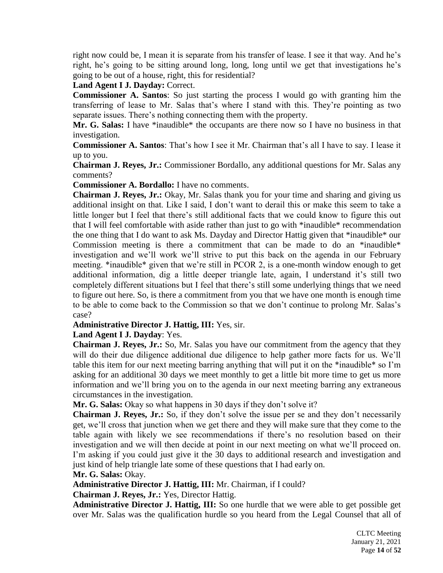right now could be, I mean it is separate from his transfer of lease. I see it that way. And he's right, he's going to be sitting around long, long, long until we get that investigations he's going to be out of a house, right, this for residential?

# **Land Agent I J. Dayday:** Correct.

**Commissioner A. Santos**: So just starting the process I would go with granting him the transferring of lease to Mr. Salas that's where I stand with this. They're pointing as two separate issues. There's nothing connecting them with the property.

**Mr. G. Salas:** I have \*inaudible\* the occupants are there now so I have no business in that investigation.

**Commissioner A. Santos**: That's how I see it Mr. Chairman that's all I have to say. I lease it up to you.

**Chairman J. Reyes, Jr.:** Commissioner Bordallo, any additional questions for Mr. Salas any comments?

**Commissioner A. Bordallo:** I have no comments.

**Chairman J. Reyes, Jr.:** Okay, Mr. Salas thank you for your time and sharing and giving us additional insight on that. Like I said, I don't want to derail this or make this seem to take a little longer but I feel that there's still additional facts that we could know to figure this out that I will feel comfortable with aside rather than just to go with \*inaudible\* recommendation the one thing that I do want to ask Ms. Dayday and Director Hattig given that \*inaudible\* our Commission meeting is there a commitment that can be made to do an \*inaudible\* investigation and we'll work we'll strive to put this back on the agenda in our February meeting. \*inaudible\* given that we're still in PCOR 2, is a one-month window enough to get additional information, dig a little deeper triangle late, again, I understand it's still two completely different situations but I feel that there's still some underlying things that we need to figure out here. So, is there a commitment from you that we have one month is enough time to be able to come back to the Commission so that we don't continue to prolong Mr. Salas's case?

# **Administrative Director J. Hattig, III:** Yes, sir.

**Land Agent I J. Dayday**: Yes.

**Chairman J. Reyes, Jr.:** So, Mr. Salas you have our commitment from the agency that they will do their due diligence additional due diligence to help gather more facts for us. We'll table this item for our next meeting barring anything that will put it on the \*inaudible\* so I'm asking for an additional 30 days we meet monthly to get a little bit more time to get us more information and we'll bring you on to the agenda in our next meeting barring any extraneous circumstances in the investigation.

**Mr. G. Salas:** Okay so what happens in 30 days if they don't solve it?

**Chairman J. Reyes, Jr.:** So, if they don't solve the issue per se and they don't necessarily get, we'll cross that junction when we get there and they will make sure that they come to the table again with likely we see recommendations if there's no resolution based on their investigation and we will then decide at point in our next meeting on what we'll proceed on. I'm asking if you could just give it the 30 days to additional research and investigation and just kind of help triangle late some of these questions that I had early on.

#### **Mr. G. Salas:** Okay.

**Administrative Director J. Hattig, III:** Mr. Chairman, if I could?

**Chairman J. Reyes, Jr.:** Yes, Director Hattig.

**Administrative Director J. Hattig, III:** So one hurdle that we were able to get possible get over Mr. Salas was the qualification hurdle so you heard from the Legal Counsel that all of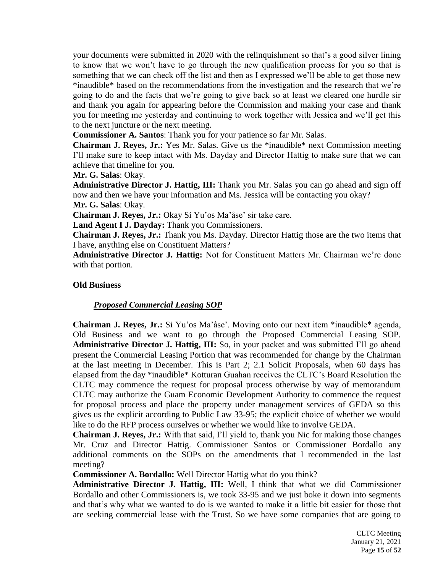your documents were submitted in 2020 with the relinquishment so that's a good silver lining to know that we won't have to go through the new qualification process for you so that is something that we can check off the list and then as I expressed we'll be able to get those new \*inaudible\* based on the recommendations from the investigation and the research that we're going to do and the facts that we're going to give back so at least we cleared one hurdle sir and thank you again for appearing before the Commission and making your case and thank you for meeting me yesterday and continuing to work together with Jessica and we'll get this to the next juncture or the next meeting.

**Commissioner A. Santos**: Thank you for your patience so far Mr. Salas.

**Chairman J. Reyes, Jr.:** Yes Mr. Salas. Give us the \*inaudible\* next Commission meeting I'll make sure to keep intact with Ms. Dayday and Director Hattig to make sure that we can achieve that timeline for you.

**Mr. G. Salas**: Okay.

**Administrative Director J. Hattig, III:** Thank you Mr. Salas you can go ahead and sign off now and then we have your information and Ms. Jessica will be contacting you okay? **Mr. G. Salas**: Okay.

**Chairman J. Reyes, Jr.:** Okay Si Yu'os Ma'åse' sir take care.

**Land Agent I J. Dayday:** Thank you Commissioners.

**Chairman J. Reyes, Jr.:** Thank you Ms. Dayday. Director Hattig those are the two items that I have, anything else on Constituent Matters?

**Administrative Director J. Hattig:** Not for Constituent Matters Mr. Chairman we're done with that portion.

### **Old Business**

# *Proposed Commercial Leasing SOP*

**Chairman J. Reyes, Jr.:** Si Yu'os Ma'åse'. Moving onto our next item \*inaudible\* agenda, Old Business and we want to go through the Proposed Commercial Leasing SOP. **Administrative Director J. Hattig, III:** So, in your packet and was submitted I'll go ahead present the Commercial Leasing Portion that was recommended for change by the Chairman at the last meeting in December. This is Part 2; 2.1 Solicit Proposals, when 60 days has elapsed from the day \*inaudible\* Kotturan Guahan receives the CLTC's Board Resolution the CLTC may commence the request for proposal process otherwise by way of memorandum CLTC may authorize the Guam Economic Development Authority to commence the request for proposal process and place the property under management services of GEDA so this gives us the explicit according to Public Law 33-95; the explicit choice of whether we would like to do the RFP process ourselves or whether we would like to involve GEDA.

**Chairman J. Reyes, Jr.:** With that said, I'll yield to, thank you Nic for making those changes Mr. Cruz and Director Hattig. Commissioner Santos or Commissioner Bordallo any additional comments on the SOPs on the amendments that I recommended in the last meeting?

**Commissioner A. Bordallo:** Well Director Hattig what do you think?

**Administrative Director J. Hattig, III:** Well, I think that what we did Commissioner Bordallo and other Commissioners is, we took 33-95 and we just boke it down into segments and that's why what we wanted to do is we wanted to make it a little bit easier for those that are seeking commercial lease with the Trust. So we have some companies that are going to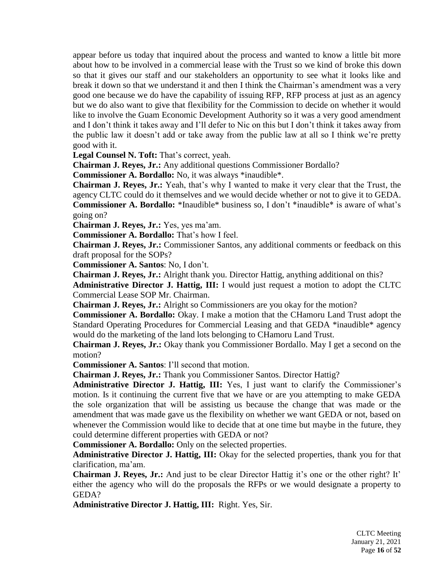appear before us today that inquired about the process and wanted to know a little bit more about how to be involved in a commercial lease with the Trust so we kind of broke this down so that it gives our staff and our stakeholders an opportunity to see what it looks like and break it down so that we understand it and then I think the Chairman's amendment was a very good one because we do have the capability of issuing RFP, RFP process at just as an agency but we do also want to give that flexibility for the Commission to decide on whether it would like to involve the Guam Economic Development Authority so it was a very good amendment and I don't think it takes away and I'll defer to Nic on this but I don't think it takes away from the public law it doesn't add or take away from the public law at all so I think we're pretty good with it.

**Legal Counsel N. Toft:** That's correct, yeah.

**Chairman J. Reyes, Jr.:** Any additional questions Commissioner Bordallo?

**Commissioner A. Bordallo:** No, it was always \*inaudible\*.

**Chairman J. Reyes, Jr.:** Yeah, that's why I wanted to make it very clear that the Trust, the agency CLTC could do it themselves and we would decide whether or not to give it to GEDA. **Commissioner A. Bordallo:** \*Inaudible\* business so, I don't \*inaudible\* is aware of what's going on?

**Chairman J. Reyes, Jr.:** Yes, yes ma'am.

**Commissioner A. Bordallo:** That's how I feel.

**Chairman J. Reyes, Jr.:** Commissioner Santos, any additional comments or feedback on this draft proposal for the SOPs?

**Commissioner A. Santos**: No, I don't.

**Chairman J. Reyes, Jr.:** Alright thank you. Director Hattig, anything additional on this?

**Administrative Director J. Hattig, III:** I would just request a motion to adopt the CLTC Commercial Lease SOP Mr. Chairman.

**Chairman J. Reyes, Jr.:** Alright so Commissioners are you okay for the motion?

**Commissioner A. Bordallo:** Okay. I make a motion that the CHamoru Land Trust adopt the Standard Operating Procedures for Commercial Leasing and that GEDA \*inaudible\* agency would do the marketing of the land lots belonging to CHamoru Land Trust.

**Chairman J. Reyes, Jr.:** Okay thank you Commissioner Bordallo. May I get a second on the motion?

**Commissioner A. Santos**: I'll second that motion.

**Chairman J. Reyes, Jr.:** Thank you Commissioner Santos. Director Hattig?

**Administrative Director J. Hattig, III:** Yes, I just want to clarify the Commissioner's motion. Is it continuing the current five that we have or are you attempting to make GEDA the sole organization that will be assisting us because the change that was made or the amendment that was made gave us the flexibility on whether we want GEDA or not, based on whenever the Commission would like to decide that at one time but maybe in the future, they could determine different properties with GEDA or not?

**Commissioner A. Bordallo:** Only on the selected properties.

**Administrative Director J. Hattig, III:** Okay for the selected properties, thank you for that clarification, ma'am.

**Chairman J. Reyes, Jr.:** And just to be clear Director Hattig it's one or the other right? It' either the agency who will do the proposals the RFPs or we would designate a property to GEDA?

**Administrative Director J. Hattig, III:** Right. Yes, Sir.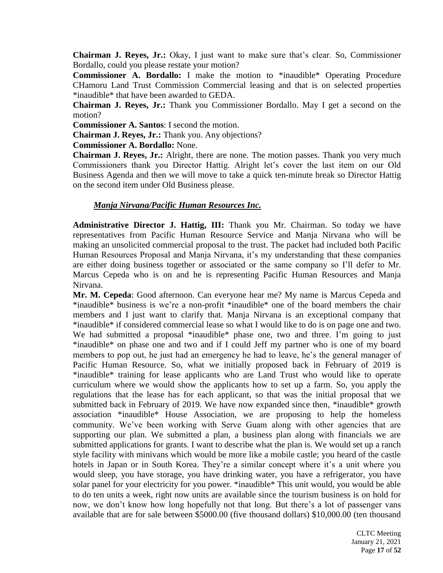**Chairman J. Reyes, Jr.:** Okay, I just want to make sure that's clear. So, Commissioner Bordallo, could you please restate your motion?

**Commissioner A. Bordallo:** I make the motion to \*inaudible\* Operating Procedure CHamoru Land Trust Commission Commercial leasing and that is on selected properties \*inaudible\* that have been awarded to GEDA.

**Chairman J. Reyes, Jr.:** Thank you Commissioner Bordallo. May I get a second on the motion?

**Commissioner A. Santos**: I second the motion.

**Chairman J. Reyes, Jr.:** Thank you. Any objections?

**Commissioner A. Bordallo:** None.

**Chairman J. Reyes, Jr.:** Alright, there are none. The motion passes. Thank you very much Commissioners thank you Director Hattig. Alright let's cover the last item on our Old Business Agenda and then we will move to take a quick ten-minute break so Director Hattig on the second item under Old Business please.

# *Manja Nirvana/Pacific Human Resources Inc.*

**Administrative Director J. Hattig, III:** Thank you Mr. Chairman. So today we have representatives from Pacific Human Resource Service and Manja Nirvana who will be making an unsolicited commercial proposal to the trust. The packet had included both Pacific Human Resources Proposal and Manja Nirvana, it's my understanding that these companies are either doing business together or associated or the same company so I'll defer to Mr. Marcus Cepeda who is on and he is representing Pacific Human Resources and Manja Nirvana.

**Mr. M. Cepeda**: Good afternoon. Can everyone hear me? My name is Marcus Cepeda and \*inaudible\* business is we're a non-profit \*inaudible\* one of the board members the chair members and I just want to clarify that. Manja Nirvana is an exceptional company that \*inaudible\* if considered commercial lease so what I would like to do is on page one and two. We had submitted a proposal \*inaudible\* phase one, two and three. I'm going to just \*inaudible\* on phase one and two and if I could Jeff my partner who is one of my board members to pop out, he just had an emergency he had to leave, he's the general manager of Pacific Human Resource. So, what we initially proposed back in February of 2019 is \*inaudible\* training for lease applicants who are Land Trust who would like to operate curriculum where we would show the applicants how to set up a farm. So, you apply the regulations that the lease has for each applicant, so that was the initial proposal that we submitted back in February of 2019. We have now expanded since then, \*inaudible\* growth association \*inaudible\* House Association, we are proposing to help the homeless community. We've been working with Serve Guam along with other agencies that are supporting our plan. We submitted a plan, a business plan along with financials we are submitted applications for grants. I want to describe what the plan is. We would set up a ranch style facility with minivans which would be more like a mobile castle; you heard of the castle hotels in Japan or in South Korea. They're a similar concept where it's a unit where you would sleep, you have storage, you have drinking water, you have a refrigerator, you have solar panel for your electricity for you power. \*inaudible\* This unit would, you would be able to do ten units a week, right now units are available since the tourism business is on hold for now, we don't know how long hopefully not that long. But there's a lot of passenger vans available that are for sale between \$5000.00 (five thousand dollars) \$10,000.00 (ten thousand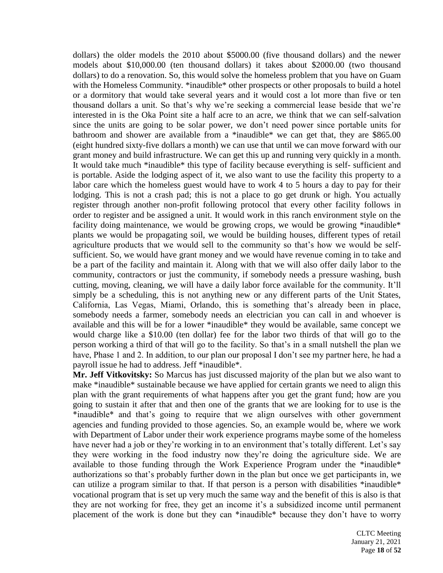dollars) the older models the 2010 about \$5000.00 (five thousand dollars) and the newer models about \$10,000.00 (ten thousand dollars) it takes about \$2000.00 (two thousand dollars) to do a renovation. So, this would solve the homeless problem that you have on Guam with the Homeless Community. \*inaudible\* other prospects or other proposals to build a hotel or a dormitory that would take several years and it would cost a lot more than five or ten thousand dollars a unit. So that's why we're seeking a commercial lease beside that we're interested in is the Oka Point site a half acre to an acre, we think that we can self-salvation since the units are going to be solar power, we don't need power since portable units for bathroom and shower are available from a \*inaudible\* we can get that, they are \$865.00 (eight hundred sixty-five dollars a month) we can use that until we can move forward with our grant money and build infrastructure. We can get this up and running very quickly in a month. It would take much \*inaudible\* this type of facility because everything is self- sufficient and is portable. Aside the lodging aspect of it, we also want to use the facility this property to a labor care which the homeless guest would have to work 4 to 5 hours a day to pay for their lodging. This is not a crash pad; this is not a place to go get drunk or high. You actually register through another non-profit following protocol that every other facility follows in order to register and be assigned a unit. It would work in this ranch environment style on the facility doing maintenance, we would be growing crops, we would be growing \*inaudible\* plants we would be propagating soil, we would be building houses, different types of retail agriculture products that we would sell to the community so that's how we would be selfsufficient. So, we would have grant money and we would have revenue coming in to take and be a part of the facility and maintain it. Along with that we will also offer daily labor to the community, contractors or just the community, if somebody needs a pressure washing, bush cutting, moving, cleaning, we will have a daily labor force available for the community. It'll simply be a scheduling, this is not anything new or any different parts of the Unit States, California, Las Vegas, Miami, Orlando, this is something that's already been in place, somebody needs a farmer, somebody needs an electrician you can call in and whoever is available and this will be for a lower \*inaudible\* they would be available, same concept we would charge like a \$10.00 (ten dollar) fee for the labor two thirds of that will go to the person working a third of that will go to the facility. So that's in a small nutshell the plan we have, Phase 1 and 2. In addition, to our plan our proposal I don't see my partner here, he had a payroll issue he had to address. Jeff \*inaudible\*.

**Mr. Jeff Vitkovitsky:** So Marcus has just discussed majority of the plan but we also want to make \*inaudible\* sustainable because we have applied for certain grants we need to align this plan with the grant requirements of what happens after you get the grant fund; how are you going to sustain it after that and then one of the grants that we are looking for to use is the \*inaudible\* and that's going to require that we align ourselves with other government agencies and funding provided to those agencies. So, an example would be, where we work with Department of Labor under their work experience programs maybe some of the homeless have never had a job or they're working in to an environment that's totally different. Let's say they were working in the food industry now they're doing the agriculture side. We are available to those funding through the Work Experience Program under the \*inaudible\* authorizations so that's probably further down in the plan but once we get participants in, we can utilize a program similar to that. If that person is a person with disabilities \*inaudible\* vocational program that is set up very much the same way and the benefit of this is also is that they are not working for free, they get an income it's a subsidized income until permanent placement of the work is done but they can \*inaudible\* because they don't have to worry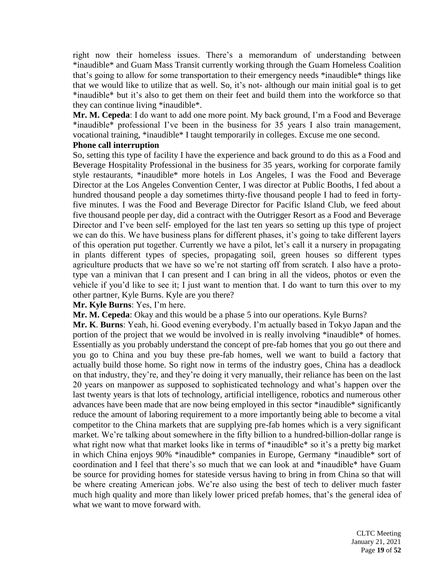right now their homeless issues. There's a memorandum of understanding between \*inaudible\* and Guam Mass Transit currently working through the Guam Homeless Coalition that's going to allow for some transportation to their emergency needs \*inaudible\* things like that we would like to utilize that as well. So, it's not- although our main initial goal is to get \*inaudible\* but it's also to get them on their feet and build them into the workforce so that they can continue living \*inaudible\*.

**Mr. M. Cepeda**: I do want to add one more point. My back ground, I'm a Food and Beverage \*inaudible\* professional I've been in the business for 35 years I also train management, vocational training, \*inaudible\* I taught temporarily in colleges. Excuse me one second.

# **Phone call interruption**

So, setting this type of facility I have the experience and back ground to do this as a Food and Beverage Hospitality Professional in the business for 35 years, working for corporate family style restaurants, \*inaudible\* more hotels in Los Angeles, I was the Food and Beverage Director at the Los Angeles Convention Center, I was director at Public Booths, I fed about a hundred thousand people a day sometimes thirty-five thousand people I had to feed in fortyfive minutes. I was the Food and Beverage Director for Pacific Island Club, we feed about five thousand people per day, did a contract with the Outrigger Resort as a Food and Beverage Director and I've been self- employed for the last ten years so setting up this type of project we can do this. We have business plans for different phases, it's going to take different layers of this operation put together. Currently we have a pilot, let's call it a nursery in propagating in plants different types of species, propagating soil, green houses so different types agriculture products that we have so we're not starting off from scratch. I also have a prototype van a minivan that I can present and I can bring in all the videos, photos or even the vehicle if you'd like to see it; I just want to mention that. I do want to turn this over to my other partner, Kyle Burns. Kyle are you there?

**Mr. Kyle Burns**: Yes, I'm here.

**Mr. M. Cepeda**: Okay and this would be a phase 5 into our operations. Kyle Burns?

**Mr. K**. **Burns**: Yeah, hi. Good evening everybody. I'm actually based in Tokyo Japan and the portion of the project that we would be involved in is really involving \*inaudible\* of homes. Essentially as you probably understand the concept of pre-fab homes that you go out there and you go to China and you buy these pre-fab homes, well we want to build a factory that actually build those home. So right now in terms of the industry goes, China has a deadlock on that industry, they're, and they're doing it very manually, their reliance has been on the last 20 years on manpower as supposed to sophisticated technology and what's happen over the last twenty years is that lots of technology, artificial intelligence, robotics and numerous other advances have been made that are now being employed in this sector \*inaudible\* significantly reduce the amount of laboring requirement to a more importantly being able to become a vital competitor to the China markets that are supplying pre-fab homes which is a very significant market. We're talking about somewhere in the fifty billion to a hundred-billion-dollar range is what right now what that market looks like in terms of \*inaudible\* so it's a pretty big market in which China enjoys 90% \*inaudible\* companies in Europe, Germany \*inaudible\* sort of coordination and I feel that there's so much that we can look at and \*inaudible\* have Guam be source for providing homes for stateside versus having to bring in from China so that will be where creating American jobs. We're also using the best of tech to deliver much faster much high quality and more than likely lower priced prefab homes, that's the general idea of what we want to move forward with.

> CLTC Meeting January 21, 2021 Page **19** of **52**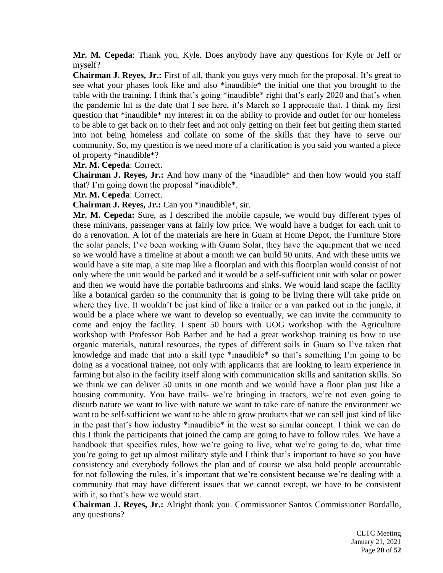**Mr. M. Cepeda**: Thank you, Kyle. Does anybody have any questions for Kyle or Jeff or myself?

**Chairman J. Reyes, Jr.:** First of all, thank you guys very much for the proposal. It's great to see what your phases look like and also \*inaudible\* the initial one that you brought to the table with the training. I think that's going \*inaudible\* right that's early 2020 and that's when the pandemic hit is the date that I see here, it's March so I appreciate that. I think my first question that \*inaudible\* my interest in on the ability to provide and outlet for our homeless to be able to get back on to their feet and not only getting on their feet but getting them started into not being homeless and collate on some of the skills that they have to serve our community. So, my question is we need more of a clarification is you said you wanted a piece of property \*inaudible\*?

#### **Mr. M. Cepeda**: Correct.

**Chairman J. Reyes, Jr.:** And how many of the \*inaudible\* and then how would you staff that? I'm going down the proposal \*inaudible\*.

#### **Mr. M. Cepeda**: Correct.

**Chairman J. Reyes, Jr.:** Can you \*inaudible\*, sir.

**Mr. M. Cepeda:** Sure, as I described the mobile capsule, we would buy different types of these minivans, passenger vans at fairly low price. We would have a budget for each unit to do a renovation. A lot of the materials are here in Guam at Home Depot, the Furniture Store the solar panels; I've been working with Guam Solar, they have the equipment that we need so we would have a timeline at about a month we can build 50 units. And with these units we would have a site map, a site map like a floorplan and with this floorplan would consist of not only where the unit would be parked and it would be a self-sufficient unit with solar or power and then we would have the portable bathrooms and sinks. We would land scape the facility like a botanical garden so the community that is going to be living there will take pride on where they live. It wouldn't be just kind of like a trailer or a van parked out in the jungle, it would be a place where we want to develop so eventually, we can invite the community to come and enjoy the facility. I spent 50 hours with UOG workshop with the Agriculture workshop with Professor Bob Barber and he had a great workshop training us how to use organic materials, natural resources, the types of different soils in Guam so I've taken that knowledge and made that into a skill type \*inaudible\* so that's something I'm going to be doing as a vocational trainee, not only with applicants that are looking to learn experience in farming but also in the facility itself along with communication skills and sanitation skills. So we think we can deliver 50 units in one month and we would have a floor plan just like a housing community. You have trails- we're bringing in tractors, we're not even going to disturb nature we want to live with nature we want to take care of nature the environment we want to be self-sufficient we want to be able to grow products that we can sell just kind of like in the past that's how industry \*inaudible\* in the west so similar concept. I think we can do this I think the participants that joined the camp are going to have to follow rules. We have a handbook that specifies rules, how we're going to live, what we're going to do, what time you're going to get up almost military style and I think that's important to have so you have consistency and everybody follows the plan and of course we also hold people accountable for not following the rules, it's important that we're consistent because we're dealing with a community that may have different issues that we cannot except, we have to be consistent with it, so that's how we would start.

**Chairman J. Reyes, Jr.:** Alright thank you. Commissioner Santos Commissioner Bordallo, any questions?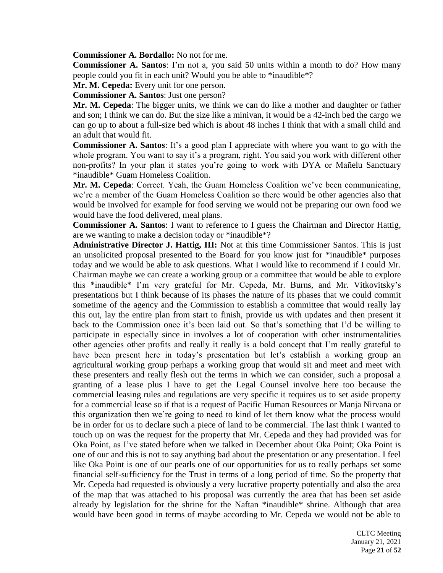**Commissioner A. Bordallo:** No not for me.

**Commissioner A. Santos**: I'm not a, you said 50 units within a month to do? How many people could you fit in each unit? Would you be able to \*inaudible\*?

**Mr. M. Cepeda:** Every unit for one person.

**Commissioner A. Santos**: Just one person?

**Mr. M. Cepeda**: The bigger units, we think we can do like a mother and daughter or father and son; I think we can do. But the size like a minivan, it would be a 42-inch bed the cargo we can go up to about a full-size bed which is about 48 inches I think that with a small child and an adult that would fit.

**Commissioner A. Santos**: It's a good plan I appreciate with where you want to go with the whole program. You want to say it's a program, right. You said you work with different other non-profits? In your plan it states you're going to work with DYA or Mañelu Sanctuary \*inaudible\* Guam Homeless Coalition.

**Mr. M. Cepeda**: Correct. Yeah, the Guam Homeless Coalition we've been communicating, we're a member of the Guam Homeless Coalition so there would be other agencies also that would be involved for example for food serving we would not be preparing our own food we would have the food delivered, meal plans.

**Commissioner A. Santos**: I want to reference to I guess the Chairman and Director Hattig, are we wanting to make a decision today or \*inaudible\*?

**Administrative Director J. Hattig, III:** Not at this time Commissioner Santos. This is just an unsolicited proposal presented to the Board for you know just for \*inaudible\* purposes today and we would be able to ask questions. What I would like to recommend if I could Mr. Chairman maybe we can create a working group or a committee that would be able to explore this \*inaudible\* I'm very grateful for Mr. Cepeda, Mr. Burns, and Mr. Vitkovitsky's presentations but I think because of its phases the nature of its phases that we could commit sometime of the agency and the Commission to establish a committee that would really lay this out, lay the entire plan from start to finish, provide us with updates and then present it back to the Commission once it's been laid out. So that's something that I'd be willing to participate in especially since in involves a lot of cooperation with other instrumentalities other agencies other profits and really it really is a bold concept that I'm really grateful to have been present here in today's presentation but let's establish a working group an agricultural working group perhaps a working group that would sit and meet and meet with these presenters and really flesh out the terms in which we can consider, such a proposal a granting of a lease plus I have to get the Legal Counsel involve here too because the commercial leasing rules and regulations are very specific it requires us to set aside property for a commercial lease so if that is a request of Pacific Human Resources or Manja Nirvana or this organization then we're going to need to kind of let them know what the process would be in order for us to declare such a piece of land to be commercial. The last think I wanted to touch up on was the request for the property that Mr. Cepeda and they had provided was for Oka Point, as I've stated before when we talked in December about Oka Point; Oka Point is one of our and this is not to say anything bad about the presentation or any presentation. I feel like Oka Point is one of our pearls one of our opportunities for us to really perhaps set some financial self-sufficiency for the Trust in terms of a long period of time. So the property that Mr. Cepeda had requested is obviously a very lucrative property potentially and also the area of the map that was attached to his proposal was currently the area that has been set aside already by legislation for the shrine for the Naftan \*inaudible\* shrine. Although that area would have been good in terms of maybe according to Mr. Cepeda we would not be able to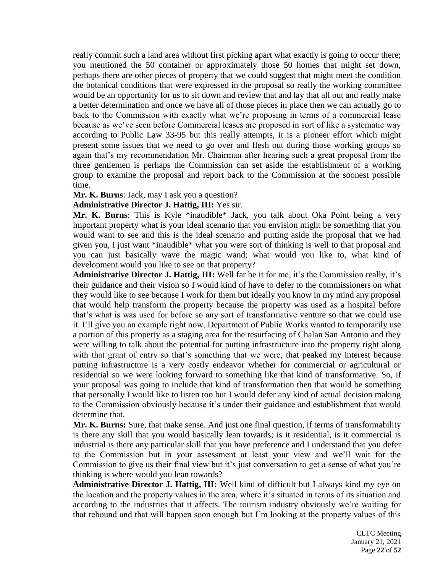really commit such a land area without first picking apart what exactly is going to occur there; you mentioned the 50 container or approximately those 50 homes that might set down, perhaps there are other pieces of property that we could suggest that might meet the condition the botanical conditions that were expressed in the proposal so really the working committee would be an opportunity for us to sit down and review that and lay that all out and really make a better determination and once we have all of those pieces in place then we can actually go to back to the Commission with exactly what we're proposing in terms of a commercial lease because as we've seen before Commercial leases are proposed in sort of like a systematic way according to Public Law 33-95 but this really attempts, it is a pioneer effort which might present some issues that we need to go over and flesh out during those working groups so again that's my recommendation Mr. Chairman after hearing such a great proposal from the three gentlemen is perhaps the Commission can set aside the establishment of a working group to examine the proposal and report back to the Commission at the soonest possible time.

**Mr. K. Burns**: Jack, may I ask you a question?

**Administrative Director J. Hattig, III:** Yes sir.

**Mr. K. Burns**: This is Kyle \*inaudible\* Jack, you talk about Oka Point being a very important property what is your ideal scenario that you envision might be something that you would want to see and this is the ideal scenario and putting aside the proposal that we had given you, I just want \*inaudible\* what you were sort of thinking is well to that proposal and you can just basically wave the magic wand; what would you like to, what kind of development would you like to see on that property?

**Administrative Director J. Hattig, III:** Well far be it for me, it's the Commission really, it's their guidance and their vision so I would kind of have to defer to the commissioners on what they would like to see because I work for them but ideally you know in my mind any proposal that would help transform the property because the property was used as a hospital before that's what is was used for before so any sort of transformative venture so that we could use it. I'll give you an example right now, Department of Public Works wanted to temporarily use a portion of this property as a staging area for the resurfacing of Chalan San Antonio and they were willing to talk about the potential for putting infrastructure into the property right along with that grant of entry so that's something that we were, that peaked my interest because putting infrastructure is a very costly endeavor whether for commercial or agricultural or residential so we were looking forward to something like that kind of transformative. So, if your proposal was going to include that kind of transformation then that would be something that personally I would like to listen too but I would defer any kind of actual decision making to the Commission obviously because it's under their guidance and establishment that would determine that.

**Mr. K. Burns:** Sure, that make sense. And just one final question, if terms of transformability is there any skill that you would basically lean towards; is it residential, is it commercial is industrial is there any particular skill that you have preference and I understand that you defer to the Commission but in your assessment at least your view and we'll wait for the Commission to give us their final view but it's just conversation to get a sense of what you're thinking is where would you lean towards?

**Administrative Director J. Hattig, III:** Well kind of difficult but I always kind my eye on the location and the property values in the area, where it's situated in terms of its situation and according to the industries that it affects. The tourism industry obviously we're waiting for that rebound and that will happen soon enough but I'm looking at the property values of this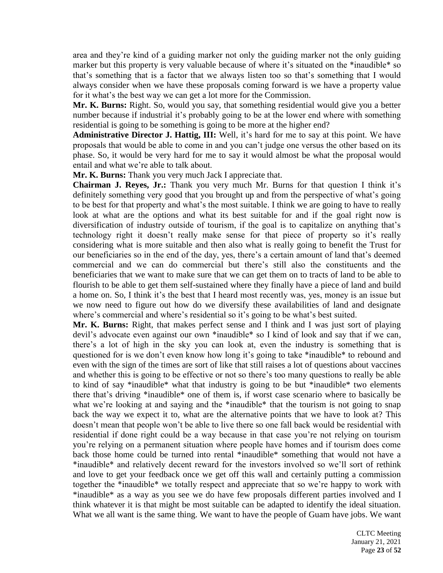area and they're kind of a guiding marker not only the guiding marker not the only guiding marker but this property is very valuable because of where it's situated on the \*inaudible\* so that's something that is a factor that we always listen too so that's something that I would always consider when we have these proposals coming forward is we have a property value for it what's the best way we can get a lot more for the Commission.

**Mr. K. Burns:** Right. So, would you say, that something residential would give you a better number because if industrial it's probably going to be at the lower end where with something residential is going to be something is going to be more at the higher end?

**Administrative Director J. Hattig, III:** Well, it's hard for me to say at this point. We have proposals that would be able to come in and you can't judge one versus the other based on its phase. So, it would be very hard for me to say it would almost be what the proposal would entail and what we're able to talk about.

**Mr. K. Burns:** Thank you very much Jack I appreciate that.

**Chairman J. Reyes, Jr.:** Thank you very much Mr. Burns for that question I think it's definitely something very good that you brought up and from the perspective of what's going to be best for that property and what's the most suitable. I think we are going to have to really look at what are the options and what its best suitable for and if the goal right now is diversification of industry outside of tourism, if the goal is to capitalize on anything that's technology right it doesn't really make sense for that piece of property so it's really considering what is more suitable and then also what is really going to benefit the Trust for our beneficiaries so in the end of the day, yes, there's a certain amount of land that's deemed commercial and we can do commercial but there's still also the constituents and the beneficiaries that we want to make sure that we can get them on to tracts of land to be able to flourish to be able to get them self-sustained where they finally have a piece of land and build a home on. So, I think it's the best that I heard most recently was, yes, money is an issue but we now need to figure out how do we diversify these availabilities of land and designate where's commercial and where's residential so it's going to be what's best suited.

**Mr. K. Burns:** Right, that makes perfect sense and I think and I was just sort of playing devil's advocate even against our own \*inaudible\* so I kind of look and say that if we can, there's a lot of high in the sky you can look at, even the industry is something that is questioned for is we don't even know how long it's going to take \*inaudible\* to rebound and even with the sign of the times are sort of like that still raises a lot of questions about vaccines and whether this is going to be effective or not so there's too many questions to really be able to kind of say \*inaudible\* what that industry is going to be but \*inaudible\* two elements there that's driving \*inaudible\* one of them is, if worst case scenario where to basically be what we're looking at and saying and the \*inaudible\* that the tourism is not going to snap back the way we expect it to, what are the alternative points that we have to look at? This doesn't mean that people won't be able to live there so one fall back would be residential with residential if done right could be a way because in that case you're not relying on tourism you're relying on a permanent situation where people have homes and if tourism does come back those home could be turned into rental \*inaudible\* something that would not have a \*inaudible\* and relatively decent reward for the investors involved so we'll sort of rethink and love to get your feedback once we get off this wall and certainly putting a commission together the \*inaudible\* we totally respect and appreciate that so we're happy to work with \*inaudible\* as a way as you see we do have few proposals different parties involved and I think whatever it is that might be most suitable can be adapted to identify the ideal situation. What we all want is the same thing. We want to have the people of Guam have jobs. We want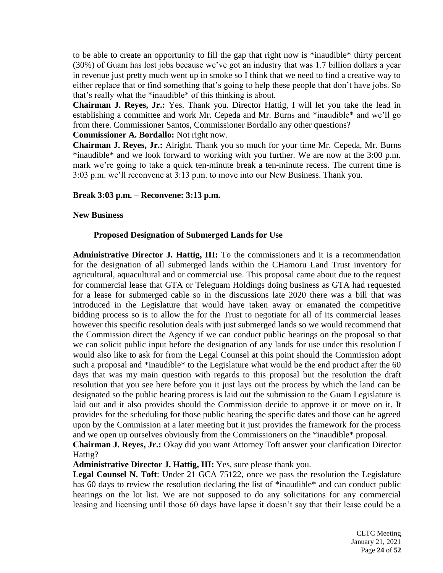to be able to create an opportunity to fill the gap that right now is \*inaudible\* thirty percent (30%) of Guam has lost jobs because we've got an industry that was 1.7 billion dollars a year in revenue just pretty much went up in smoke so I think that we need to find a creative way to either replace that or find something that's going to help these people that don't have jobs. So that's really what the \*inaudible\* of this thinking is about.

**Chairman J. Reyes, Jr.:** Yes. Thank you. Director Hattig, I will let you take the lead in establishing a committee and work Mr. Cepeda and Mr. Burns and \*inaudible\* and we'll go from there. Commissioner Santos, Commissioner Bordallo any other questions?

### **Commissioner A. Bordallo:** Not right now.

**Chairman J. Reyes, Jr.:** Alright. Thank you so much for your time Mr. Cepeda, Mr. Burns \*inaudible\* and we look forward to working with you further. We are now at the 3:00 p.m. mark we're going to take a quick ten-minute break a ten-minute recess. The current time is 3:03 p.m. we'll reconvene at 3:13 p.m. to move into our New Business. Thank you.

# **Break 3:03 p.m. – Reconvene: 3:13 p.m.**

#### **New Business**

# **Proposed Designation of Submerged Lands for Use**

**Administrative Director J. Hattig, III:** To the commissioners and it is a recommendation for the designation of all submerged lands within the CHamoru Land Trust inventory for agricultural, aquacultural and or commercial use. This proposal came about due to the request for commercial lease that GTA or Teleguam Holdings doing business as GTA had requested for a lease for submerged cable so in the discussions late 2020 there was a bill that was introduced in the Legislature that would have taken away or emanated the competitive bidding process so is to allow the for the Trust to negotiate for all of its commercial leases however this specific resolution deals with just submerged lands so we would recommend that the Commission direct the Agency if we can conduct public hearings on the proposal so that we can solicit public input before the designation of any lands for use under this resolution I would also like to ask for from the Legal Counsel at this point should the Commission adopt such a proposal and \*inaudible\* to the Legislature what would be the end product after the 60 days that was my main question with regards to this proposal but the resolution the draft resolution that you see here before you it just lays out the process by which the land can be designated so the public hearing process is laid out the submission to the Guam Legislature is laid out and it also provides should the Commission decide to approve it or move on it. It provides for the scheduling for those public hearing the specific dates and those can be agreed upon by the Commission at a later meeting but it just provides the framework for the process and we open up ourselves obviously from the Commissioners on the \*inaudible\* proposal.

**Chairman J. Reyes, Jr.:** Okay did you want Attorney Toft answer your clarification Director Hattig?

**Administrative Director J. Hattig, III:** Yes, sure please thank you.

**Legal Counsel N. Toft**: Under 21 GCA 75122, once we pass the resolution the Legislature has 60 days to review the resolution declaring the list of \*inaudible\* and can conduct public hearings on the lot list. We are not supposed to do any solicitations for any commercial leasing and licensing until those 60 days have lapse it doesn't say that their lease could be a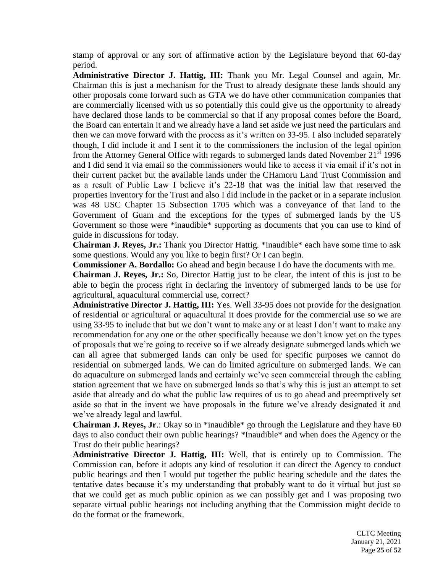stamp of approval or any sort of affirmative action by the Legislature beyond that 60-day period.

**Administrative Director J. Hattig, III:** Thank you Mr. Legal Counsel and again, Mr. Chairman this is just a mechanism for the Trust to already designate these lands should any other proposals come forward such as GTA we do have other communication companies that are commercially licensed with us so potentially this could give us the opportunity to already have declared those lands to be commercial so that if any proposal comes before the Board, the Board can entertain it and we already have a land set aside we just need the particulars and then we can move forward with the process as it's written on 33-95. I also included separately though, I did include it and I sent it to the commissioners the inclusion of the legal opinion from the Attorney General Office with regards to submerged lands dated November  $21<sup>st</sup> 1996$ and I did send it via email so the commissioners would like to access it via email if it's not in their current packet but the available lands under the CHamoru Land Trust Commission and as a result of Public Law I believe it's 22-18 that was the initial law that reserved the properties inventory for the Trust and also I did include in the packet or in a separate inclusion was 48 USC Chapter 15 Subsection 1705 which was a conveyance of that land to the Government of Guam and the exceptions for the types of submerged lands by the US Government so those were \*inaudible\* supporting as documents that you can use to kind of guide in discussions for today.

**Chairman J. Reyes, Jr.:** Thank you Director Hattig. \*inaudible\* each have some time to ask some questions. Would any you like to begin first? Or I can begin.

**Commissioner A. Bordallo:** Go ahead and begin because I do have the documents with me.

**Chairman J. Reyes, Jr.:** So, Director Hattig just to be clear, the intent of this is just to be able to begin the process right in declaring the inventory of submerged lands to be use for agricultural, aquacultural commercial use, correct?

**Administrative Director J. Hattig, III:** Yes. Well 33-95 does not provide for the designation of residential or agricultural or aquacultural it does provide for the commercial use so we are using 33-95 to include that but we don't want to make any or at least I don't want to make any recommendation for any one or the other specifically because we don't know yet on the types of proposals that we're going to receive so if we already designate submerged lands which we can all agree that submerged lands can only be used for specific purposes we cannot do residential on submerged lands. We can do limited agriculture on submerged lands. We can do aquaculture on submerged lands and certainly we've seen commercial through the cabling station agreement that we have on submerged lands so that's why this is just an attempt to set aside that already and do what the public law requires of us to go ahead and preemptively set aside so that in the invent we have proposals in the future we've already designated it and we've already legal and lawful.

**Chairman J. Reyes, Jr**.: Okay so in \*inaudible\* go through the Legislature and they have 60 days to also conduct their own public hearings? \*Inaudible\* and when does the Agency or the Trust do their public hearings?

**Administrative Director J. Hattig, III:** Well, that is entirely up to Commission. The Commission can, before it adopts any kind of resolution it can direct the Agency to conduct public hearings and then I would put together the public hearing schedule and the dates the tentative dates because it's my understanding that probably want to do it virtual but just so that we could get as much public opinion as we can possibly get and I was proposing two separate virtual public hearings not including anything that the Commission might decide to do the format or the framework.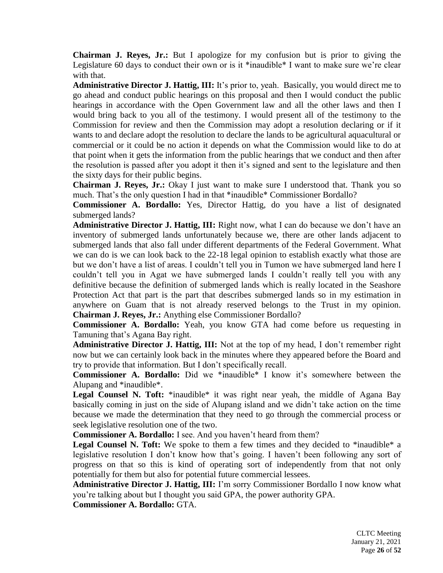**Chairman J. Reyes, Jr.:** But I apologize for my confusion but is prior to giving the Legislature 60 days to conduct their own or is it \*inaudible\* I want to make sure we're clear with that.

**Administrative Director J. Hattig, III:** It's prior to, yeah. Basically, you would direct me to go ahead and conduct public hearings on this proposal and then I would conduct the public hearings in accordance with the Open Government law and all the other laws and then I would bring back to you all of the testimony. I would present all of the testimony to the Commission for review and then the Commission may adopt a resolution declaring or if it wants to and declare adopt the resolution to declare the lands to be agricultural aquacultural or commercial or it could be no action it depends on what the Commission would like to do at that point when it gets the information from the public hearings that we conduct and then after the resolution is passed after you adopt it then it's signed and sent to the legislature and then the sixty days for their public begins.

**Chairman J. Reyes, Jr.:** Okay I just want to make sure I understood that. Thank you so much. That's the only question I had in that \*inaudible\* Commissioner Bordallo?

**Commissioner A. Bordallo:** Yes, Director Hattig, do you have a list of designated submerged lands?

**Administrative Director J. Hattig, III:** Right now, what I can do because we don't have an inventory of submerged lands unfortunately because we, there are other lands adjacent to submerged lands that also fall under different departments of the Federal Government. What we can do is we can look back to the 22-18 legal opinion to establish exactly what those are but we don't have a list of areas. I couldn't tell you in Tumon we have submerged land here I couldn't tell you in Agat we have submerged lands I couldn't really tell you with any definitive because the definition of submerged lands which is really located in the Seashore Protection Act that part is the part that describes submerged lands so in my estimation in anywhere on Guam that is not already reserved belongs to the Trust in my opinion. **Chairman J. Reyes, Jr.:** Anything else Commissioner Bordallo?

**Commissioner A. Bordallo:** Yeah, you know GTA had come before us requesting in Tamuning that's Agana Bay right.

**Administrative Director J. Hattig, III:** Not at the top of my head, I don't remember right now but we can certainly look back in the minutes where they appeared before the Board and try to provide that information. But I don't specifically recall.

**Commissioner A. Bordallo:** Did we \*inaudible\* I know it's somewhere between the Alupang and \*inaudible\*.

Legal Counsel N. Toft: \*inaudible\* it was right near yeah, the middle of Agana Bay basically coming in just on the side of Alupang island and we didn't take action on the time because we made the determination that they need to go through the commercial process or seek legislative resolution one of the two.

**Commissioner A. Bordallo:** I see. And you haven't heard from them?

Legal Counsel N. Toft: We spoke to them a few times and they decided to \*inaudible\* a legislative resolution I don't know how that's going. I haven't been following any sort of progress on that so this is kind of operating sort of independently from that not only potentially for them but also for potential future commercial lessees.

**Administrative Director J. Hattig, III:** I'm sorry Commissioner Bordallo I now know what you're talking about but I thought you said GPA, the power authority GPA. **Commissioner A. Bordallo:** GTA.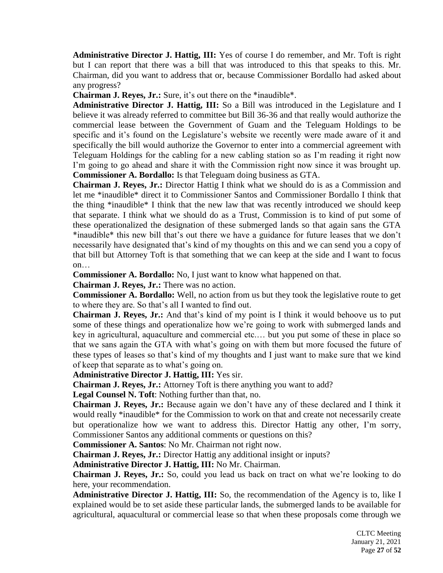**Administrative Director J. Hattig, III:** Yes of course I do remember, and Mr. Toft is right but I can report that there was a bill that was introduced to this that speaks to this. Mr. Chairman, did you want to address that or, because Commissioner Bordallo had asked about any progress?

**Chairman J. Reyes, Jr.:** Sure, it's out there on the \*inaudible\*.

**Administrative Director J. Hattig, III:** So a Bill was introduced in the Legislature and I believe it was already referred to committee but Bill 36-36 and that really would authorize the commercial lease between the Government of Guam and the Teleguam Holdings to be specific and it's found on the Legislature's website we recently were made aware of it and specifically the bill would authorize the Governor to enter into a commercial agreement with Teleguam Holdings for the cabling for a new cabling station so as I'm reading it right now I'm going to go ahead and share it with the Commission right now since it was brought up. **Commissioner A. Bordallo:** Is that Teleguam doing business as GTA.

**Chairman J. Reyes, Jr.:** Director Hattig I think what we should do is as a Commission and let me \*inaudible\* direct it to Commissioner Santos and Commissioner Bordallo I think that the thing \*inaudible\* I think that the new law that was recently introduced we should keep that separate. I think what we should do as a Trust, Commission is to kind of put some of these operationalized the designation of these submerged lands so that again sans the GTA \*inaudible\* this new bill that's out there we have a guidance for future leases that we don't necessarily have designated that's kind of my thoughts on this and we can send you a copy of that bill but Attorney Toft is that something that we can keep at the side and I want to focus on…

**Commissioner A. Bordallo:** No, I just want to know what happened on that.

**Chairman J. Reyes, Jr.:** There was no action.

**Commissioner A. Bordallo:** Well, no action from us but they took the legislative route to get to where they are. So that's all I wanted to find out.

**Chairman J. Reyes, Jr.:** And that's kind of my point is I think it would behoove us to put some of these things and operationalize how we're going to work with submerged lands and key in agricultural, aquaculture and commercial etc.… but you put some of these in place so that we sans again the GTA with what's going on with them but more focused the future of these types of leases so that's kind of my thoughts and I just want to make sure that we kind of keep that separate as to what's going on.

**Administrative Director J. Hattig, III:** Yes sir.

**Chairman J. Reyes, Jr.:** Attorney Toft is there anything you want to add?

**Legal Counsel N. Toft**: Nothing further than that, no.

**Chairman J. Reyes, Jr.:** Because again we don't have any of these declared and I think it would really \*inaudible\* for the Commission to work on that and create not necessarily create but operationalize how we want to address this. Director Hattig any other, I'm sorry, Commissioner Santos any additional comments or questions on this?

**Commissioner A. Santos**: No Mr. Chairman not right now.

**Chairman J. Reyes, Jr.:** Director Hattig any additional insight or inputs?

**Administrative Director J. Hattig, III:** No Mr. Chairman.

**Chairman J. Reyes, Jr.:** So, could you lead us back on tract on what we're looking to do here, your recommendation.

**Administrative Director J. Hattig, III:** So, the recommendation of the Agency is to, like I explained would be to set aside these particular lands, the submerged lands to be available for agricultural, aquacultural or commercial lease so that when these proposals come through we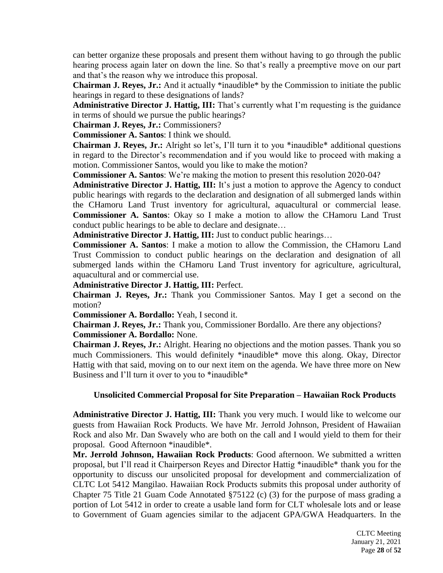can better organize these proposals and present them without having to go through the public hearing process again later on down the line. So that's really a preemptive move on our part and that's the reason why we introduce this proposal.

**Chairman J. Reyes, Jr.:** And it actually \*inaudible\* by the Commission to initiate the public hearings in regard to these designations of lands?

**Administrative Director J. Hattig, III:** That's currently what I'm requesting is the guidance in terms of should we pursue the public hearings?

**Chairman J. Reyes, Jr.:** Commissioners?

**Commissioner A. Santos**: I think we should.

**Chairman J. Reyes, Jr.:** Alright so let's, I'll turn it to you \*inaudible\* additional questions in regard to the Director's recommendation and if you would like to proceed with making a motion. Commissioner Santos, would you like to make the motion?

**Commissioner A. Santos**: We're making the motion to present this resolution 2020-04?

**Administrative Director J. Hattig, III:** It's just a motion to approve the Agency to conduct public hearings with regards to the declaration and designation of all submerged lands within the CHamoru Land Trust inventory for agricultural, aquacultural or commercial lease. **Commissioner A. Santos**: Okay so I make a motion to allow the CHamoru Land Trust conduct public hearings to be able to declare and designate…

**Administrative Director J. Hattig, III:** Just to conduct public hearings…

**Commissioner A. Santos**: I make a motion to allow the Commission, the CHamoru Land Trust Commission to conduct public hearings on the declaration and designation of all submerged lands within the CHamoru Land Trust inventory for agriculture, agricultural, aquacultural and or commercial use.

**Administrative Director J. Hattig, III:** Perfect.

**Chairman J. Reyes, Jr.:** Thank you Commissioner Santos. May I get a second on the motion?

**Commissioner A. Bordallo:** Yeah, I second it.

**Chairman J. Reyes, Jr.:** Thank you, Commissioner Bordallo. Are there any objections? **Commissioner A. Bordallo:** None.

**Chairman J. Reyes, Jr.:** Alright. Hearing no objections and the motion passes. Thank you so much Commissioners. This would definitely \*inaudible\* move this along. Okay, Director Hattig with that said, moving on to our next item on the agenda. We have three more on New Business and I'll turn it over to you to \*inaudible\*

# **Unsolicited Commercial Proposal for Site Preparation – Hawaiian Rock Products**

**Administrative Director J. Hattig, III:** Thank you very much. I would like to welcome our guests from Hawaiian Rock Products. We have Mr. Jerrold Johnson, President of Hawaiian Rock and also Mr. Dan Swavely who are both on the call and I would yield to them for their proposal. Good Afternoon \*inaudible\*.

**Mr. Jerrold Johnson, Hawaiian Rock Products**: Good afternoon. We submitted a written proposal, but I'll read it Chairperson Reyes and Director Hattig \*inaudible\* thank you for the opportunity to discuss our unsolicited proposal for development and commercialization of CLTC Lot 5412 Mangilao. Hawaiian Rock Products submits this proposal under authority of Chapter 75 Title 21 Guam Code Annotated §75122 (c) (3) for the purpose of mass grading a portion of Lot 5412 in order to create a usable land form for CLT wholesale lots and or lease to Government of Guam agencies similar to the adjacent GPA/GWA Headquarters. In the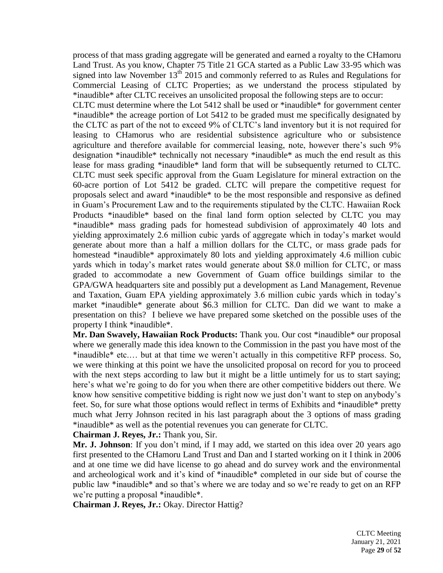process of that mass grading aggregate will be generated and earned a royalty to the CHamoru Land Trust. As you know, Chapter 75 Title 21 GCA started as a Public Law 33-95 which was signed into law November 13<sup>th</sup> 2015 and commonly referred to as Rules and Regulations for Commercial Leasing of CLTC Properties; as we understand the process stipulated by \*inaudible\* after CLTC receives an unsolicited proposal the following steps are to occur:

CLTC must determine where the Lot 5412 shall be used or \*inaudible\* for government center \*inaudible\* the acreage portion of Lot 5412 to be graded must me specifically designated by the CLTC as part of the not to exceed 9% of CLTC's land inventory but it is not required for leasing to CHamorus who are residential subsistence agriculture who or subsistence agriculture and therefore available for commercial leasing, note, however there's such 9% designation \*inaudible\* technically not necessary \*inaudible\* as much the end result as this lease for mass grading \*inaudible\* land form that will be subsequently returned to CLTC. CLTC must seek specific approval from the Guam Legislature for mineral extraction on the 60-acre portion of Lot 5412 be graded. CLTC will prepare the competitive request for proposals select and award \*inaudible\* to be the most responsible and responsive as defined in Guam's Procurement Law and to the requirements stipulated by the CLTC. Hawaiian Rock Products \*inaudible\* based on the final land form option selected by CLTC you may \*inaudible\* mass grading pads for homestead subdivision of approximately 40 lots and yielding approximately 2.6 million cubic yards of aggregate which in today's market would generate about more than a half a million dollars for the CLTC, or mass grade pads for homestead \*inaudible\* approximately 80 lots and yielding approximately 4.6 million cubic yards which in today's market rates would generate about \$8.0 million for CLTC, or mass graded to accommodate a new Government of Guam office buildings similar to the GPA/GWA headquarters site and possibly put a development as Land Management, Revenue and Taxation, Guam EPA yielding approximately 3.6 million cubic yards which in today's market \*inaudible\* generate about \$6.3 million for CLTC. Dan did we want to make a presentation on this? I believe we have prepared some sketched on the possible uses of the property I think \*inaudible\*.

**Mr. Dan Swavely, Hawaiian Rock Products:** Thank you. Our cost \*inaudible\* our proposal where we generally made this idea known to the Commission in the past you have most of the \*inaudible\* etc.… but at that time we weren't actually in this competitive RFP process. So, we were thinking at this point we have the unsolicited proposal on record for you to proceed with the next steps according to law but it might be a little untimely for us to start saying; here's what we're going to do for you when there are other competitive bidders out there. We know how sensitive competitive bidding is right now we just don't want to step on anybody's feet. So, for sure what those options would reflect in terms of Exhibits and \*inaudible\* pretty much what Jerry Johnson recited in his last paragraph about the 3 options of mass grading \*inaudible\* as well as the potential revenues you can generate for CLTC.

**Chairman J. Reyes, Jr.:** Thank you, Sir.

Mr. **J. Johnson**: If you don't mind, if I may add, we started on this idea over 20 years ago first presented to the CHamoru Land Trust and Dan and I started working on it I think in 2006 and at one time we did have license to go ahead and do survey work and the environmental and archeological work and it's kind of \*inaudible\* completed in our side but of course the public law \*inaudible\* and so that's where we are today and so we're ready to get on an RFP we're putting a proposal \*inaudible\*.

**Chairman J. Reyes, Jr.:** Okay. Director Hattig?

CLTC Meeting January 21, 2021 Page **29** of **52**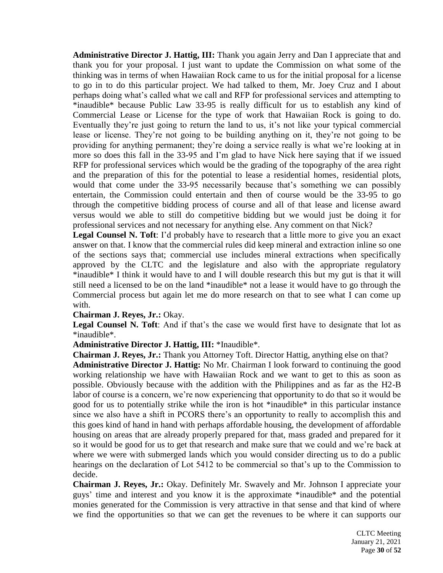**Administrative Director J. Hattig, III:** Thank you again Jerry and Dan I appreciate that and thank you for your proposal. I just want to update the Commission on what some of the thinking was in terms of when Hawaiian Rock came to us for the initial proposal for a license to go in to do this particular project. We had talked to them, Mr. Joey Cruz and I about perhaps doing what's called what we call and RFP for professional services and attempting to \*inaudible\* because Public Law 33-95 is really difficult for us to establish any kind of Commercial Lease or License for the type of work that Hawaiian Rock is going to do. Eventually they're just going to return the land to us, it's not like your typical commercial lease or license. They're not going to be building anything on it, they're not going to be providing for anything permanent; they're doing a service really is what we're looking at in more so does this fall in the 33-95 and I'm glad to have Nick here saying that if we issued RFP for professional services which would be the grading of the topography of the area right and the preparation of this for the potential to lease a residential homes, residential plots, would that come under the 33-95 necessarily because that's something we can possibly entertain, the Commission could entertain and then of course would be the 33-95 to go through the competitive bidding process of course and all of that lease and license award versus would we able to still do competitive bidding but we would just be doing it for professional services and not necessary for anything else. Any comment on that Nick?

**Legal Counsel N. Toft**: I'd probably have to research that a little more to give you an exact answer on that. I know that the commercial rules did keep mineral and extraction inline so one of the sections says that; commercial use includes mineral extractions when specifically approved by the CLTC and the legislature and also with the appropriate regulatory \*inaudible\* I think it would have to and I will double research this but my gut is that it will still need a licensed to be on the land \*inaudible\* not a lease it would have to go through the Commercial process but again let me do more research on that to see what I can come up with.

# **Chairman J. Reyes, Jr.:** Okay.

**Legal Counsel N. Toft**: And if that's the case we would first have to designate that lot as \*inaudible\*.

# **Administrative Director J. Hattig, III:** \*Inaudible\*.

**Chairman J. Reyes, Jr.:** Thank you Attorney Toft. Director Hattig, anything else on that? **Administrative Director J. Hattig:** No Mr. Chairman I look forward to continuing the good working relationship we have with Hawaiian Rock and we want to get to this as soon as possible. Obviously because with the addition with the Philippines and as far as the H2-B labor of course is a concern, we're now experiencing that opportunity to do that so it would be good for us to potentially strike while the iron is hot \*inaudible\* in this particular instance since we also have a shift in PCORS there's an opportunity to really to accomplish this and this goes kind of hand in hand with perhaps affordable housing, the development of affordable housing on areas that are already properly prepared for that, mass graded and prepared for it so it would be good for us to get that research and make sure that we could and we're back at where we were with submerged lands which you would consider directing us to do a public hearings on the declaration of Lot 5412 to be commercial so that's up to the Commission to decide.

**Chairman J. Reyes, Jr.:** Okay. Definitely Mr. Swavely and Mr. Johnson I appreciate your guys' time and interest and you know it is the approximate \*inaudible\* and the potential monies generated for the Commission is very attractive in that sense and that kind of where we find the opportunities so that we can get the revenues to be where it can supports our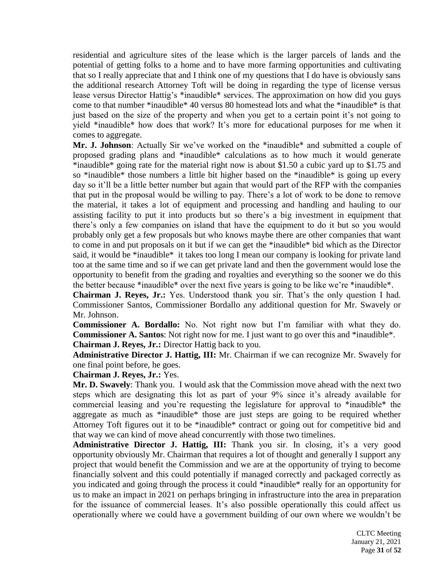residential and agriculture sites of the lease which is the larger parcels of lands and the potential of getting folks to a home and to have more farming opportunities and cultivating that so I really appreciate that and I think one of my questions that I do have is obviously sans the additional research Attorney Toft will be doing in regarding the type of license versus lease versus Director Hattig's \*inaudible\* services. The approximation on how did you guys come to that number \*inaudible\* 40 versus 80 homestead lots and what the \*inaudible\* is that just based on the size of the property and when you get to a certain point it's not going to yield \*inaudible\* how does that work? It's more for educational purposes for me when it comes to aggregate.

**Mr. J. Johnson**: Actually Sir we've worked on the \*inaudible\* and submitted a couple of proposed grading plans and \*inaudible\* calculations as to how much it would generate \*inaudible\* going rate for the material right now is about \$1.50 a cubic yard up to \$1.75 and so \*inaudible\* those numbers a little bit higher based on the \*inaudible\* is going up every day so it'll be a little better number but again that would part of the RFP with the companies that put in the proposal would be willing to pay. There's a lot of work to be done to remove the material, it takes a lot of equipment and processing and handling and hauling to our assisting facility to put it into products but so there's a big investment in equipment that there's only a few companies on island that have the equipment to do it but so you would probably only get a few proposals but who knows maybe there are other companies that want to come in and put proposals on it but if we can get the \*inaudible\* bid which as the Director said, it would be \*inaudible\* it takes too long I mean our company is looking for private land too at the same time and so if we can get private land and then the government would lose the opportunity to benefit from the grading and royalties and everything so the sooner we do this the better because \*inaudible\* over the next five years is going to be like we're \*inaudible\*.

**Chairman J. Reyes, Jr.:** Yes. Understood thank you sir. That's the only question I had. Commissioner Santos, Commissioner Bordallo any additional question for Mr. Swavely or Mr. Johnson.

**Commissioner A. Bordallo:** No. Not right now but I'm familiar with what they do. **Commissioner A. Santos**: Not right now for me. I just want to go over this and \*inaudible\*. **Chairman J. Reyes, Jr.:** Director Hattig back to you.

**Administrative Director J. Hattig, III:** Mr. Chairman if we can recognize Mr. Swavely for one final point before, he goes.

**Chairman J. Reyes, Jr.:** Yes.

**Mr. D. Swavely**: Thank you. I would ask that the Commission move ahead with the next two steps which are designating this lot as part of your 9% since it's already available for commercial leasing and you're requesting the legislature for approval to \*inaudible\* the aggregate as much as \*inaudible\* those are just steps are going to be required whether Attorney Toft figures out it to be \*inaudible\* contract or going out for competitive bid and that way we can kind of move ahead concurrently with those two timelines.

**Administrative Director J. Hattig, III:** Thank you sir. In closing, it's a very good opportunity obviously Mr. Chairman that requires a lot of thought and generally I support any project that would benefit the Commission and we are at the opportunity of trying to become financially solvent and this could potentially if managed correctly and packaged correctly as you indicated and going through the process it could \*inaudible\* really for an opportunity for us to make an impact in 2021 on perhaps bringing in infrastructure into the area in preparation for the issuance of commercial leases. It's also possible operationally this could affect us operationally where we could have a government building of our own where we wouldn't be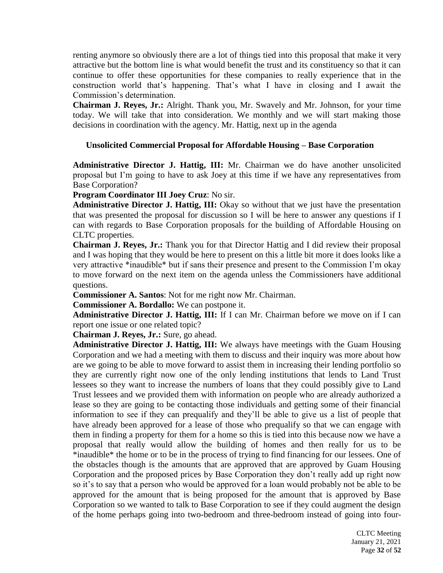renting anymore so obviously there are a lot of things tied into this proposal that make it very attractive but the bottom line is what would benefit the trust and its constituency so that it can continue to offer these opportunities for these companies to really experience that in the construction world that's happening. That's what I have in closing and I await the Commission's determination.

**Chairman J. Reyes, Jr.:** Alright. Thank you, Mr. Swavely and Mr. Johnson, for your time today. We will take that into consideration. We monthly and we will start making those decisions in coordination with the agency. Mr. Hattig, next up in the agenda

# **Unsolicited Commercial Proposal for Affordable Housing – Base Corporation**

**Administrative Director J. Hattig, III:** Mr. Chairman we do have another unsolicited proposal but I'm going to have to ask Joey at this time if we have any representatives from Base Corporation?

**Program Coordinator III Joey Cruz**: No sir.

**Administrative Director J. Hattig, III:** Okay so without that we just have the presentation that was presented the proposal for discussion so I will be here to answer any questions if I can with regards to Base Corporation proposals for the building of Affordable Housing on CLTC properties.

**Chairman J. Reyes, Jr.:** Thank you for that Director Hattig and I did review their proposal and I was hoping that they would be here to present on this a little bit more it does looks like a very attractive \*inaudible\* but if sans their presence and present to the Commission I'm okay to move forward on the next item on the agenda unless the Commissioners have additional questions.

**Commissioner A. Santos**: Not for me right now Mr. Chairman.

**Commissioner A. Bordallo:** We can postpone it.

**Administrative Director J. Hattig, III:** If I can Mr. Chairman before we move on if I can report one issue or one related topic?

**Chairman J. Reyes, Jr.:** Sure, go ahead.

**Administrative Director J. Hattig, III:** We always have meetings with the Guam Housing Corporation and we had a meeting with them to discuss and their inquiry was more about how are we going to be able to move forward to assist them in increasing their lending portfolio so they are currently right now one of the only lending institutions that lends to Land Trust lessees so they want to increase the numbers of loans that they could possibly give to Land Trust lessees and we provided them with information on people who are already authorized a lease so they are going to be contacting those individuals and getting some of their financial information to see if they can prequalify and they'll be able to give us a list of people that have already been approved for a lease of those who prequalify so that we can engage with them in finding a property for them for a home so this is tied into this because now we have a proposal that really would allow the building of homes and then really for us to be \*inaudible\* the home or to be in the process of trying to find financing for our lessees. One of the obstacles though is the amounts that are approved that are approved by Guam Housing Corporation and the proposed prices by Base Corporation they don't really add up right now so it's to say that a person who would be approved for a loan would probably not be able to be approved for the amount that is being proposed for the amount that is approved by Base Corporation so we wanted to talk to Base Corporation to see if they could augment the design of the home perhaps going into two-bedroom and three-bedroom instead of going into four-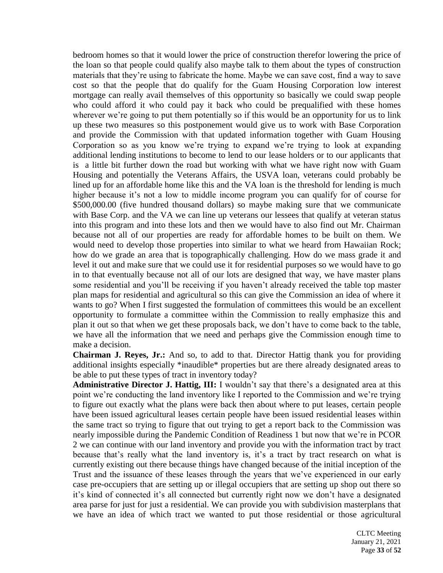bedroom homes so that it would lower the price of construction therefor lowering the price of the loan so that people could qualify also maybe talk to them about the types of construction materials that they're using to fabricate the home. Maybe we can save cost, find a way to save cost so that the people that do qualify for the Guam Housing Corporation low interest mortgage can really avail themselves of this opportunity so basically we could swap people who could afford it who could pay it back who could be prequalified with these homes wherever we're going to put them potentially so if this would be an opportunity for us to link up these two measures so this postponement would give us to work with Base Corporation and provide the Commission with that updated information together with Guam Housing Corporation so as you know we're trying to expand we're trying to look at expanding additional lending institutions to become to lend to our lease holders or to our applicants that is a little bit further down the road but working with what we have right now with Guam Housing and potentially the Veterans Affairs, the USVA loan, veterans could probably be lined up for an affordable home like this and the VA loan is the threshold for lending is much higher because it's not a low to middle income program you can qualify for of course for \$500,000.00 (five hundred thousand dollars) so maybe making sure that we communicate with Base Corp. and the VA we can line up veterans our lessees that qualify at veteran status into this program and into these lots and then we would have to also find out Mr. Chairman because not all of our properties are ready for affordable homes to be built on them. We would need to develop those properties into similar to what we heard from Hawaiian Rock; how do we grade an area that is topographically challenging. How do we mass grade it and level it out and make sure that we could use it for residential purposes so we would have to go in to that eventually because not all of our lots are designed that way, we have master plans some residential and you'll be receiving if you haven't already received the table top master plan maps for residential and agricultural so this can give the Commission an idea of where it wants to go? When I first suggested the formulation of committees this would be an excellent opportunity to formulate a committee within the Commission to really emphasize this and plan it out so that when we get these proposals back, we don't have to come back to the table, we have all the information that we need and perhaps give the Commission enough time to make a decision.

**Chairman J. Reyes, Jr.:** And so, to add to that. Director Hattig thank you for providing additional insights especially \*inaudible\* properties but are there already designated areas to be able to put these types of tract in inventory today?

**Administrative Director J. Hattig, III:** I wouldn't say that there's a designated area at this point we're conducting the land inventory like I reported to the Commission and we're trying to figure out exactly what the plans were back then about where to put leases, certain people have been issued agricultural leases certain people have been issued residential leases within the same tract so trying to figure that out trying to get a report back to the Commission was nearly impossible during the Pandemic Condition of Readiness 1 but now that we're in PCOR 2 we can continue with our land inventory and provide you with the information tract by tract because that's really what the land inventory is, it's a tract by tract research on what is currently existing out there because things have changed because of the initial inception of the Trust and the issuance of these leases through the years that we've experienced in our early case pre-occupiers that are setting up or illegal occupiers that are setting up shop out there so it's kind of connected it's all connected but currently right now we don't have a designated area parse for just for just a residential. We can provide you with subdivision masterplans that we have an idea of which tract we wanted to put those residential or those agricultural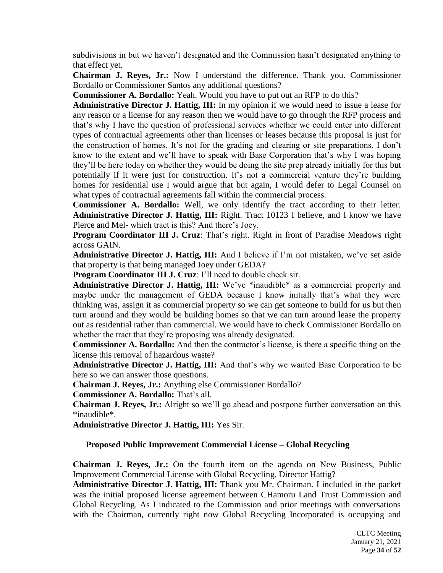subdivisions in but we haven't designated and the Commission hasn't designated anything to that effect yet.

**Chairman J. Reyes, Jr.:** Now I understand the difference. Thank you. Commissioner Bordallo or Commissioner Santos any additional questions?

**Commissioner A. Bordallo:** Yeah. Would you have to put out an RFP to do this?

**Administrative Director J. Hattig, III:** In my opinion if we would need to issue a lease for any reason or a license for any reason then we would have to go through the RFP process and that's why I have the question of professional services whether we could enter into different types of contractual agreements other than licenses or leases because this proposal is just for the construction of homes. It's not for the grading and clearing or site preparations. I don't know to the extent and we'll have to speak with Base Corporation that's why I was hoping they'll be here today on whether they would be doing the site prep already initially for this but potentially if it were just for construction. It's not a commercial venture they're building homes for residential use I would argue that but again, I would defer to Legal Counsel on what types of contractual agreements fall within the commercial process.

**Commissioner A. Bordallo:** Well, we only identify the tract according to their letter. **Administrative Director J. Hattig, III:** Right. Tract 10123 I believe, and I know we have Pierce and Mel- which tract is this? And there's Joey.

**Program Coordinator III J. Cruz**: That's right. Right in front of Paradise Meadows right across GAIN.

**Administrative Director J. Hattig, III:** And I believe if I'm not mistaken, we've set aside that property is that being managed Joey under GEDA?

**Program Coordinator III J. Cruz**: I'll need to double check sir.

**Administrative Director J. Hattig, III:** We've \*inaudible\* as a commercial property and maybe under the management of GEDA because I know initially that's what they were thinking was, assign it as commercial property so we can get someone to build for us but then turn around and they would be building homes so that we can turn around lease the property out as residential rather than commercial. We would have to check Commissioner Bordallo on whether the tract that they're proposing was already designated.

**Commissioner A. Bordallo:** And then the contractor's license, is there a specific thing on the license this removal of hazardous waste?

**Administrative Director J. Hattig, III:** And that's why we wanted Base Corporation to be here so we can answer those questions.

**Chairman J. Reyes, Jr.:** Anything else Commissioner Bordallo?

**Commissioner A. Bordallo:** That's all.

**Chairman J. Reyes, Jr.:** Alright so we'll go ahead and postpone further conversation on this \*inaudible\*.

**Administrative Director J. Hattig, III:** Yes Sir.

# **Proposed Public Improvement Commercial License – Global Recycling**

**Chairman J. Reyes, Jr.:** On the fourth item on the agenda on New Business, Public Improvement Commercial License with Global Recycling. Director Hattig?

**Administrative Director J. Hattig, III:** Thank you Mr. Chairman. I included in the packet was the initial proposed license agreement between CHamoru Land Trust Commission and Global Recycling. As I indicated to the Commission and prior meetings with conversations with the Chairman, currently right now Global Recycling Incorporated is occupying and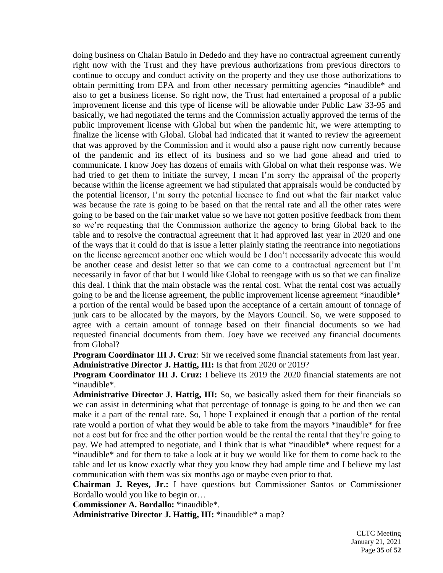doing business on Chalan Batulo in Dededo and they have no contractual agreement currently right now with the Trust and they have previous authorizations from previous directors to continue to occupy and conduct activity on the property and they use those authorizations to obtain permitting from EPA and from other necessary permitting agencies \*inaudible\* and also to get a business license. So right now, the Trust had entertained a proposal of a public improvement license and this type of license will be allowable under Public Law 33-95 and basically, we had negotiated the terms and the Commission actually approved the terms of the public improvement license with Global but when the pandemic hit, we were attempting to finalize the license with Global. Global had indicated that it wanted to review the agreement that was approved by the Commission and it would also a pause right now currently because of the pandemic and its effect of its business and so we had gone ahead and tried to communicate. I know Joey has dozens of emails with Global on what their response was. We had tried to get them to initiate the survey, I mean I'm sorry the appraisal of the property because within the license agreement we had stipulated that appraisals would be conducted by the potential licensor, I'm sorry the potential licensee to find out what the fair market value was because the rate is going to be based on that the rental rate and all the other rates were going to be based on the fair market value so we have not gotten positive feedback from them so we're requesting that the Commission authorize the agency to bring Global back to the table and to resolve the contractual agreement that it had approved last year in 2020 and one of the ways that it could do that is issue a letter plainly stating the reentrance into negotiations on the license agreement another one which would be I don't necessarily advocate this would be another cease and desist letter so that we can come to a contractual agreement but I'm necessarily in favor of that but I would like Global to reengage with us so that we can finalize this deal. I think that the main obstacle was the rental cost. What the rental cost was actually going to be and the license agreement, the public improvement license agreement \*inaudible\* a portion of the rental would be based upon the acceptance of a certain amount of tonnage of junk cars to be allocated by the mayors, by the Mayors Council. So, we were supposed to agree with a certain amount of tonnage based on their financial documents so we had requested financial documents from them. Joey have we received any financial documents from Global?

**Program Coordinator III J. Cruz**: Sir we received some financial statements from last year. **Administrative Director J. Hattig, III:** Is that from 2020 or 2019?

**Program Coordinator III J. Cruz:** I believe its 2019 the 2020 financial statements are not \*inaudible\*.

**Administrative Director J. Hattig, III:** So, we basically asked them for their financials so we can assist in determining what that percentage of tonnage is going to be and then we can make it a part of the rental rate. So, I hope I explained it enough that a portion of the rental rate would a portion of what they would be able to take from the mayors \*inaudible\* for free not a cost but for free and the other portion would be the rental the rental that they're going to pay. We had attempted to negotiate, and I think that is what \*inaudible\* where request for a \*inaudible\* and for them to take a look at it buy we would like for them to come back to the table and let us know exactly what they you know they had ample time and I believe my last communication with them was six months ago or maybe even prior to that.

**Chairman J. Reyes, Jr.:** I have questions but Commissioner Santos or Commissioner Bordallo would you like to begin or…

**Commissioner A. Bordallo:** \*inaudible\*.

**Administrative Director J. Hattig, III:** \*inaudible\* a map?

CLTC Meeting January 21, 2021 Page **35** of **52**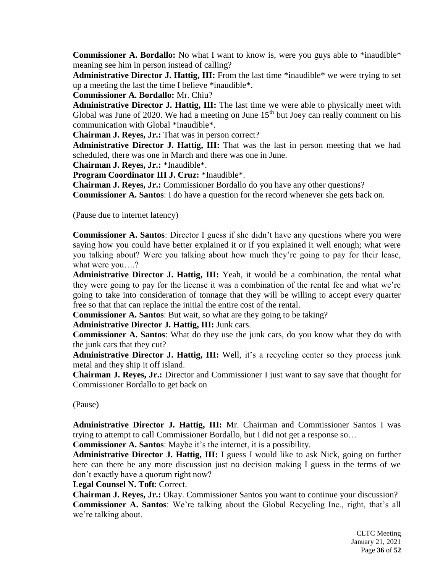**Commissioner A. Bordallo:** No what I want to know is, were you guys able to \*inaudible\* meaning see him in person instead of calling?

**Administrative Director J. Hattig, III:** From the last time \*inaudible\* we were trying to set up a meeting the last the time I believe \*inaudible\*.

**Commissioner A. Bordallo:** Mr. Chiu?

**Administrative Director J. Hattig, III:** The last time we were able to physically meet with Global was June of 2020. We had a meeting on June  $15<sup>th</sup>$  but Joey can really comment on his communication with Global \*inaudible\*.

**Chairman J. Reyes, Jr.:** That was in person correct?

**Administrative Director J. Hattig, III:** That was the last in person meeting that we had scheduled, there was one in March and there was one in June.

**Chairman J. Reyes, Jr.:** \*Inaudible\*.

**Program Coordinator III J. Cruz:** \*Inaudible\*.

**Chairman J. Reyes, Jr.:** Commissioner Bordallo do you have any other questions?

**Commissioner A. Santos**: I do have a question for the record whenever she gets back on.

(Pause due to internet latency)

**Commissioner A. Santos**: Director I guess if she didn't have any questions where you were saying how you could have better explained it or if you explained it well enough; what were you talking about? Were you talking about how much they're going to pay for their lease, what were you….?

**Administrative Director J. Hattig, III:** Yeah, it would be a combination, the rental what they were going to pay for the license it was a combination of the rental fee and what we're going to take into consideration of tonnage that they will be willing to accept every quarter free so that that can replace the initial the entire cost of the rental.

**Commissioner A. Santos**: But wait, so what are they going to be taking?

**Administrative Director J. Hattig, III:** Junk cars.

**Commissioner A. Santos**: What do they use the junk cars, do you know what they do with the junk cars that they cut?

**Administrative Director J. Hattig, III:** Well, it's a recycling center so they process junk metal and they ship it off island.

**Chairman J. Reyes, Jr.:** Director and Commissioner I just want to say save that thought for Commissioner Bordallo to get back on

(Pause)

**Administrative Director J. Hattig, III:** Mr. Chairman and Commissioner Santos I was trying to attempt to call Commissioner Bordallo, but I did not get a response so…

**Commissioner A. Santos**: Maybe it's the internet, it is a possibility.

**Administrative Director J. Hattig, III:** I guess I would like to ask Nick, going on further here can there be any more discussion just no decision making I guess in the terms of we don't exactly have a quorum right now?

**Legal Counsel N. Toft**: Correct.

**Chairman J. Reyes, Jr.:** Okay. Commissioner Santos you want to continue your discussion? **Commissioner A. Santos**: We're talking about the Global Recycling Inc., right, that's all we're talking about.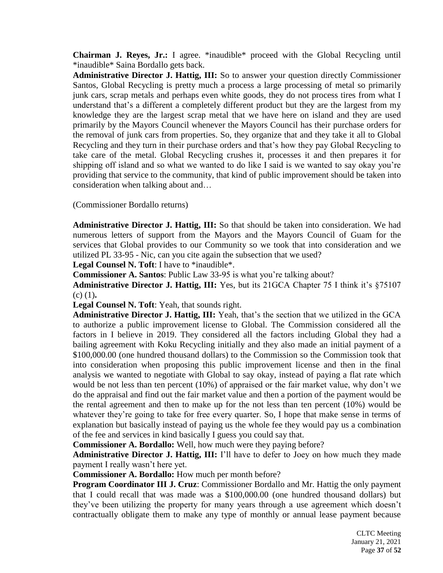**Chairman J. Reyes, Jr.:** I agree. \*inaudible\* proceed with the Global Recycling until \*inaudible\* Saina Bordallo gets back.

**Administrative Director J. Hattig, III:** So to answer your question directly Commissioner Santos, Global Recycling is pretty much a process a large processing of metal so primarily junk cars, scrap metals and perhaps even white goods, they do not process tires from what I understand that's a different a completely different product but they are the largest from my knowledge they are the largest scrap metal that we have here on island and they are used primarily by the Mayors Council whenever the Mayors Council has their purchase orders for the removal of junk cars from properties. So, they organize that and they take it all to Global Recycling and they turn in their purchase orders and that's how they pay Global Recycling to take care of the metal. Global Recycling crushes it, processes it and then prepares it for shipping off island and so what we wanted to do like I said is we wanted to say okay you're providing that service to the community, that kind of public improvement should be taken into consideration when talking about and…

(Commissioner Bordallo returns)

**Administrative Director J. Hattig, III:** So that should be taken into consideration. We had numerous letters of support from the Mayors and the Mayors Council of Guam for the services that Global provides to our Community so we took that into consideration and we utilized PL 33-95 - Nic, can you cite again the subsection that we used?

**Legal Counsel N. Toft**: I have to \*inaudible\*.

**Commissioner A. Santos**: Public Law 33-95 is what you're talking about?

**Administrative Director J. Hattig, III:** Yes, but its 21GCA Chapter 75 I think it's §75107 (c) (1)**.**

**Legal Counsel N. Toft**: Yeah, that sounds right.

**Administrative Director J. Hattig, III:** Yeah, that's the section that we utilized in the GCA to authorize a public improvement license to Global. The Commission considered all the factors in I believe in 2019. They considered all the factors including Global they had a bailing agreement with Koku Recycling initially and they also made an initial payment of a \$100,000.00 (one hundred thousand dollars) to the Commission so the Commission took that into consideration when proposing this public improvement license and then in the final analysis we wanted to negotiate with Global to say okay, instead of paying a flat rate which would be not less than ten percent (10%) of appraised or the fair market value, why don't we do the appraisal and find out the fair market value and then a portion of the payment would be the rental agreement and then to make up for the not less than ten percent (10%) would be whatever they're going to take for free every quarter. So, I hope that make sense in terms of explanation but basically instead of paying us the whole fee they would pay us a combination of the fee and services in kind basically I guess you could say that.

**Commissioner A. Bordallo:** Well, how much were they paying before?

**Administrative Director J. Hattig, III:** I'll have to defer to Joey on how much they made payment I really wasn't here yet.

**Commissioner A. Bordallo:** How much per month before?

**Program Coordinator III J. Cruz**: Commissioner Bordallo and Mr. Hattig the only payment that I could recall that was made was a \$100,000.00 (one hundred thousand dollars) but they've been utilizing the property for many years through a use agreement which doesn't contractually obligate them to make any type of monthly or annual lease payment because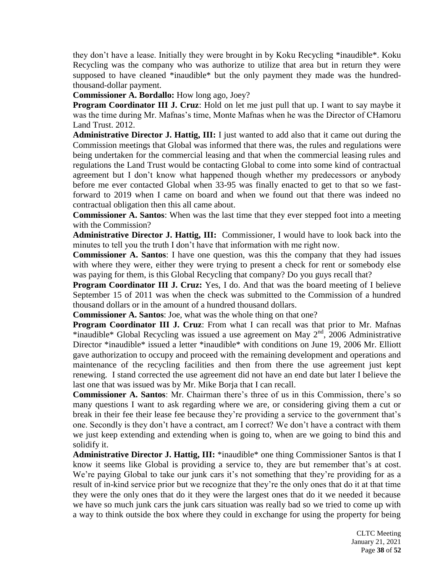they don't have a lease. Initially they were brought in by Koku Recycling \*inaudible\*. Koku Recycling was the company who was authorize to utilize that area but in return they were supposed to have cleaned \*inaudible\* but the only payment they made was the hundredthousand-dollar payment.

**Commissioner A. Bordallo:** How long ago, Joey?

**Program Coordinator III J. Cruz**: Hold on let me just pull that up. I want to say maybe it was the time during Mr. Mafnas's time, Monte Mafnas when he was the Director of CHamoru Land Trust. 2012.

**Administrative Director J. Hattig, III:** I just wanted to add also that it came out during the Commission meetings that Global was informed that there was, the rules and regulations were being undertaken for the commercial leasing and that when the commercial leasing rules and regulations the Land Trust would be contacting Global to come into some kind of contractual agreement but I don't know what happened though whether my predecessors or anybody before me ever contacted Global when 33-95 was finally enacted to get to that so we fastforward to 2019 when I came on board and when we found out that there was indeed no contractual obligation then this all came about.

**Commissioner A. Santos**: When was the last time that they ever stepped foot into a meeting with the Commission?

**Administrative Director J. Hattig, III:** Commissioner, I would have to look back into the minutes to tell you the truth I don't have that information with me right now.

**Commissioner A. Santos**: I have one question, was this the company that they had issues with where they were, either they were trying to present a check for rent or somebody else was paying for them, is this Global Recycling that company? Do you guys recall that?

**Program Coordinator III J. Cruz:** Yes, I do. And that was the board meeting of I believe September 15 of 2011 was when the check was submitted to the Commission of a hundred thousand dollars or in the amount of a hundred thousand dollars.

**Commissioner A. Santos**: Joe, what was the whole thing on that one?

**Program Coordinator III J. Cruz**: From what I can recall was that prior to Mr. Mafnas \*inaudible\* Global Recycling was issued a use agreement on May  $2<sup>nd</sup>$ , 2006 Administrative Director \*inaudible\* issued a letter \*inaudible\* with conditions on June 19, 2006 Mr. Elliott gave authorization to occupy and proceed with the remaining development and operations and maintenance of the recycling facilities and then from there the use agreement just kept renewing. I stand corrected the use agreement did not have an end date but later I believe the last one that was issued was by Mr. Mike Borja that I can recall.

**Commissioner A. Santos**: Mr. Chairman there's three of us in this Commission, there's so many questions I want to ask regarding where we are, or considering giving them a cut or break in their fee their lease fee because they're providing a service to the government that's one. Secondly is they don't have a contract, am I correct? We don't have a contract with them we just keep extending and extending when is going to, when are we going to bind this and solidify it.

**Administrative Director J. Hattig, III:** \*inaudible\* one thing Commissioner Santos is that I know it seems like Global is providing a service to, they are but remember that's at cost. We're paying Global to take our junk cars it's not something that they're providing for as a result of in-kind service prior but we recognize that they're the only ones that do it at that time they were the only ones that do it they were the largest ones that do it we needed it because we have so much junk cars the junk cars situation was really bad so we tried to come up with a way to think outside the box where they could in exchange for using the property for being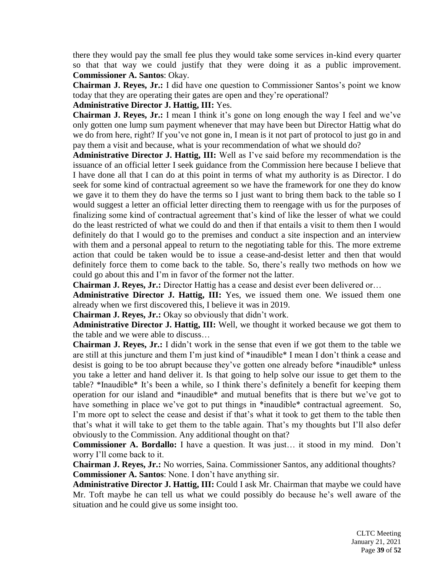there they would pay the small fee plus they would take some services in-kind every quarter so that that way we could justify that they were doing it as a public improvement. **Commissioner A. Santos**: Okay.

**Chairman J. Reyes, Jr.:** I did have one question to Commissioner Santos's point we know today that they are operating their gates are open and they're operational?

# **Administrative Director J. Hattig, III:** Yes.

**Chairman J. Reyes, Jr.:** I mean I think it's gone on long enough the way I feel and we've only gotten one lump sum payment whenever that may have been but Director Hattig what do we do from here, right? If you've not gone in, I mean is it not part of protocol to just go in and pay them a visit and because, what is your recommendation of what we should do?

**Administrative Director J. Hattig, III:** Well as I've said before my recommendation is the issuance of an official letter I seek guidance from the Commission here because I believe that I have done all that I can do at this point in terms of what my authority is as Director. I do seek for some kind of contractual agreement so we have the framework for one they do know we gave it to them they do have the terms so I just want to bring them back to the table so I would suggest a letter an official letter directing them to reengage with us for the purposes of finalizing some kind of contractual agreement that's kind of like the lesser of what we could do the least restricted of what we could do and then if that entails a visit to them then I would definitely do that I would go to the premises and conduct a site inspection and an interview with them and a personal appeal to return to the negotiating table for this. The more extreme action that could be taken would be to issue a cease-and-desist letter and then that would definitely force them to come back to the table. So, there's really two methods on how we could go about this and I'm in favor of the former not the latter.

**Chairman J. Reyes, Jr.:** Director Hattig has a cease and desist ever been delivered or…

**Administrative Director J. Hattig, III:** Yes, we issued them one. We issued them one already when we first discovered this, I believe it was in 2019.

**Chairman J. Reyes, Jr.:** Okay so obviously that didn't work.

**Administrative Director J. Hattig, III:** Well, we thought it worked because we got them to the table and we were able to discuss…

**Chairman J. Reyes, Jr.:** I didn't work in the sense that even if we got them to the table we are still at this juncture and them I'm just kind of \*inaudible\* I mean I don't think a cease and desist is going to be too abrupt because they've gotten one already before \*inaudible\* unless you take a letter and hand deliver it. Is that going to help solve our issue to get them to the table? \*Inaudible\* It's been a while, so I think there's definitely a benefit for keeping them operation for our island and \*inaudible\* and mutual benefits that is there but we've got to have something in place we've got to put things in \*inaudible\* contractual agreement. So, I'm more opt to select the cease and desist if that's what it took to get them to the table then that's what it will take to get them to the table again. That's my thoughts but I'll also defer obviously to the Commission. Any additional thought on that?

**Commissioner A. Bordallo:** I have a question. It was just… it stood in my mind. Don't worry I'll come back to it.

**Chairman J. Reyes, Jr.:** No worries, Saina. Commissioner Santos, any additional thoughts? **Commissioner A. Santos**: None. I don't have anything sir.

**Administrative Director J. Hattig, III:** Could I ask Mr. Chairman that maybe we could have Mr. Toft maybe he can tell us what we could possibly do because he's well aware of the situation and he could give us some insight too.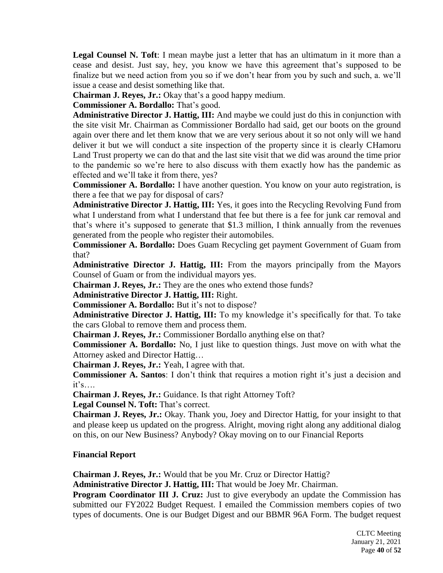**Legal Counsel N. Toft**: I mean maybe just a letter that has an ultimatum in it more than a cease and desist. Just say, hey, you know we have this agreement that's supposed to be finalize but we need action from you so if we don't hear from you by such and such, a. we'll issue a cease and desist something like that.

**Chairman J. Reyes, Jr.:** Okay that's a good happy medium.

**Commissioner A. Bordallo:** That's good.

**Administrative Director J. Hattig, III:** And maybe we could just do this in conjunction with the site visit Mr. Chairman as Commissioner Bordallo had said, get our boots on the ground again over there and let them know that we are very serious about it so not only will we hand deliver it but we will conduct a site inspection of the property since it is clearly CHamoru Land Trust property we can do that and the last site visit that we did was around the time prior to the pandemic so we're here to also discuss with them exactly how has the pandemic as effected and we'll take it from there, yes?

**Commissioner A. Bordallo:** I have another question. You know on your auto registration, is there a fee that we pay for disposal of cars?

**Administrative Director J. Hattig, III:** Yes, it goes into the Recycling Revolving Fund from what I understand from what I understand that fee but there is a fee for junk car removal and that's where it's supposed to generate that \$1.3 million, I think annually from the revenues generated from the people who register their automobiles.

**Commissioner A. Bordallo:** Does Guam Recycling get payment Government of Guam from that?

**Administrative Director J. Hattig, III:** From the mayors principally from the Mayors Counsel of Guam or from the individual mayors yes.

**Chairman J. Reyes, Jr.:** They are the ones who extend those funds?

**Administrative Director J. Hattig, III:** Right.

**Commissioner A. Bordallo:** But it's not to dispose?

**Administrative Director J. Hattig, III:** To my knowledge it's specifically for that. To take the cars Global to remove them and process them.

**Chairman J. Reyes, Jr.:** Commissioner Bordallo anything else on that?

**Commissioner A. Bordallo:** No, I just like to question things. Just move on with what the Attorney asked and Director Hattig…

**Chairman J. Reyes, Jr.:** Yeah, I agree with that.

**Commissioner A. Santos**: I don't think that requires a motion right it's just a decision and  $it's...$ .

**Chairman J. Reyes, Jr.:** Guidance. Is that right Attorney Toft?

**Legal Counsel N. Toft:** That's correct.

**Chairman J. Reyes, Jr.:** Okay. Thank you, Joey and Director Hattig, for your insight to that and please keep us updated on the progress. Alright, moving right along any additional dialog on this, on our New Business? Anybody? Okay moving on to our Financial Reports

# **Financial Report**

**Chairman J. Reyes, Jr.:** Would that be you Mr. Cruz or Director Hattig?

**Administrative Director J. Hattig, III:** That would be Joey Mr. Chairman.

**Program Coordinator III J. Cruz:** Just to give everybody an update the Commission has submitted our FY2022 Budget Request. I emailed the Commission members copies of two types of documents. One is our Budget Digest and our BBMR 96A Form. The budget request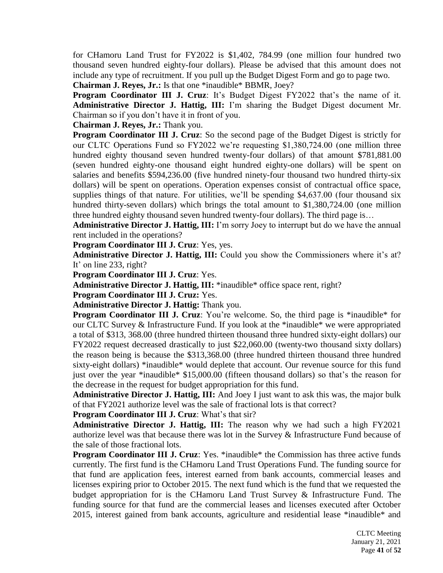for CHamoru Land Trust for FY2022 is \$1,402, 784.99 (one million four hundred two thousand seven hundred eighty-four dollars). Please be advised that this amount does not include any type of recruitment. If you pull up the Budget Digest Form and go to page two.

**Chairman J. Reyes, Jr.:** Is that one \*inaudible\* BBMR, Joey?

**Program Coordinator III J. Cruz**: It's Budget Digest FY2022 that's the name of it. **Administrative Director J. Hattig, III:** I'm sharing the Budget Digest document Mr. Chairman so if you don't have it in front of you.

**Chairman J. Reyes, Jr.:** Thank you.

**Program Coordinator III J. Cruz**: So the second page of the Budget Digest is strictly for our CLTC Operations Fund so FY2022 we're requesting \$1,380,724.00 (one million three hundred eighty thousand seven hundred twenty-four dollars) of that amount \$781,881.00 (seven hundred eighty-one thousand eight hundred eighty-one dollars) will be spent on salaries and benefits \$594,236.00 (five hundred ninety-four thousand two hundred thirty-six dollars) will be spent on operations. Operation expenses consist of contractual office space, supplies things of that nature. For utilities, we'll be spending \$4,637.00 (four thousand six hundred thirty-seven dollars) which brings the total amount to \$1,380,724.00 (one million three hundred eighty thousand seven hundred twenty-four dollars). The third page is…

**Administrative Director J. Hattig, III:** I'm sorry Joey to interrupt but do we have the annual rent included in the operations?

**Program Coordinator III J. Cruz**: Yes, yes.

**Administrative Director J. Hattig, III:** Could you show the Commissioners where it's at? It' on line 233, right?

**Program Coordinator III J. Cruz**: Yes.

**Administrative Director J. Hattig, III:** \*inaudible\* office space rent, right?

**Program Coordinator III J. Cruz:** Yes.

**Administrative Director J. Hattig:** Thank you.

**Program Coordinator III J. Cruz**: You're welcome. So, the third page is \*inaudible\* for our CLTC Survey & Infrastructure Fund. If you look at the \*inaudible\* we were appropriated a total of \$313, 368.00 (three hundred thirteen thousand three hundred sixty-eight dollars) our FY2022 request decreased drastically to just \$22,060.00 (twenty-two thousand sixty dollars) the reason being is because the \$313,368.00 (three hundred thirteen thousand three hundred sixty-eight dollars) \*inaudible\* would deplete that account. Our revenue source for this fund just over the year \*inaudible\* \$15,000.00 (fifteen thousand dollars) so that's the reason for the decrease in the request for budget appropriation for this fund.

**Administrative Director J. Hattig, III:** And Joey I just want to ask this was, the major bulk of that FY2021 authorize level was the sale of fractional lots is that correct?

**Program Coordinator III J. Cruz**: What's that sir?

**Administrative Director J. Hattig, III:** The reason why we had such a high FY2021 authorize level was that because there was lot in the Survey & Infrastructure Fund because of the sale of those fractional lots.

**Program Coordinator III J. Cruz**: Yes. \*inaudible\* the Commission has three active funds currently. The first fund is the CHamoru Land Trust Operations Fund. The funding source for that fund are application fees, interest earned from bank accounts, commercial leases and licenses expiring prior to October 2015. The next fund which is the fund that we requested the budget appropriation for is the CHamoru Land Trust Survey & Infrastructure Fund. The funding source for that fund are the commercial leases and licenses executed after October 2015, interest gained from bank accounts, agriculture and residential lease \*inaudible\* and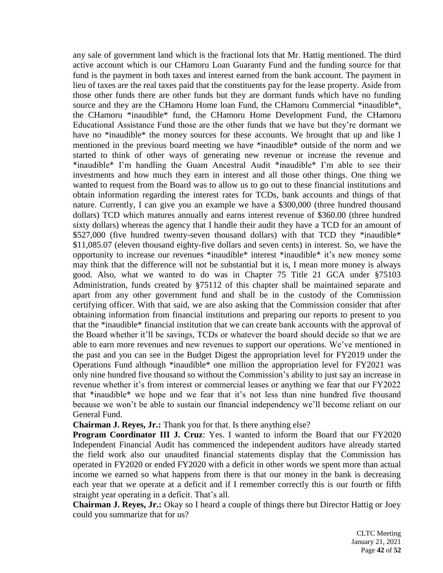any sale of government land which is the fractional lots that Mr. Hattig mentioned. The third active account which is our CHamoru Loan Guaranty Fund and the funding source for that fund is the payment in both taxes and interest earned from the bank account. The payment in lieu of taxes are the real taxes paid that the constituents pay for the lease property. Aside from those other funds there are other funds but they are dormant funds which have no funding source and they are the CHamoru Home loan Fund, the CHamoru Commercial \*inaudible\*, the CHamoru \*inaudible\* fund, the CHamoru Home Development Fund, the CHamoru Educational Assistance Fund those are the other funds that we have but they're dormant we have no \*inaudible\* the money sources for these accounts. We brought that up and like I mentioned in the previous board meeting we have \*inaudible\* outside of the norm and we started to think of other ways of generating new revenue or increase the revenue and \*inaudible\* I'm handling the Guam Ancestral Audit \*inaudible\* I'm able to see their investments and how much they earn in interest and all those other things. One thing we wanted to request from the Board was to allow us to go out to these financial institutions and obtain information regarding the interest rates for TCDs, bank accounts and things of that nature. Currently, I can give you an example we have a \$300,000 (three hundred thousand dollars) TCD which matures annually and earns interest revenue of \$360.00 (three hundred sixty dollars) whereas the agency that I handle their audit they have a TCD for an amount of \$527,000 (five hundred twenty-seven thousand dollars) with that TCD they \*inaudible\* \$11,085.07 (eleven thousand eighty-five dollars and seven cents) in interest. So, we have the opportunity to increase our revenues \*inaudible\* interest \*inaudible\* it's new money some may think that the difference will not be substantial but it is, I mean more money is always good. Also, what we wanted to do was in Chapter 75 Title 21 GCA under §75103 Administration, funds created by §75112 of this chapter shall be maintained separate and apart from any other government fund and shall be in the custody of the Commission certifying officer. With that said, we are also asking that the Commission consider that after obtaining information from financial institutions and preparing our reports to present to you that the \*inaudible\* financial institution that we can create bank accounts with the approval of the Board whether it'll be savings, TCDs or whatever the board should decide so that we are able to earn more revenues and new revenues to support our operations. We've mentioned in the past and you can see in the Budget Digest the appropriation level for FY2019 under the Operations Fund although \*inaudible\* one million the appropriation level for FY2021 was only nine hundred five thousand so without the Commission's ability to just say an increase in revenue whether it's from interest or commercial leases or anything we fear that our FY2022 that \*inaudible\* we hope and we fear that it's not less than nine hundred five thousand because we won't be able to sustain our financial independency we'll become reliant on our General Fund.

**Chairman J. Reyes, Jr.:** Thank you for that. Is there anything else?

**Program Coordinator III J. Cruz**: Yes. I wanted to inform the Board that our FY2020 Independent Financial Audit has commenced the independent auditors have already started the field work also our unaudited financial statements display that the Commission has operated in FY2020 or ended FY2020 with a deficit in other words we spent more than actual income we earned so what happens from there is that our money in the bank is decreasing each year that we operate at a deficit and if I remember correctly this is our fourth or fifth straight year operating in a deficit. That's all.

**Chairman J. Reyes, Jr.:** Okay so I heard a couple of things there but Director Hattig or Joey could you summarize that for us?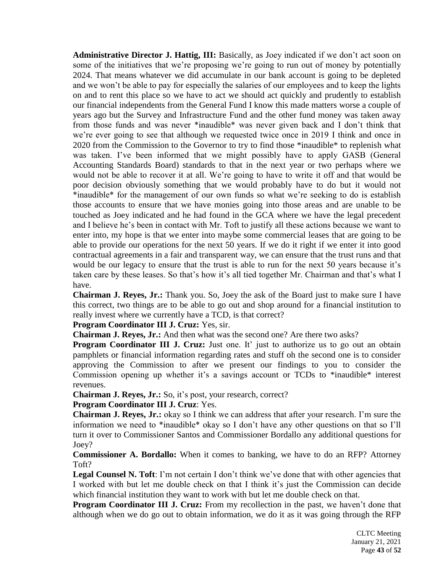**Administrative Director J. Hattig, III:** Basically, as Joey indicated if we don't act soon on some of the initiatives that we're proposing we're going to run out of money by potentially 2024. That means whatever we did accumulate in our bank account is going to be depleted and we won't be able to pay for especially the salaries of our employees and to keep the lights on and to rent this place so we have to act we should act quickly and prudently to establish our financial independents from the General Fund I know this made matters worse a couple of years ago but the Survey and Infrastructure Fund and the other fund money was taken away from those funds and was never \*inaudible\* was never given back and I don't think that we're ever going to see that although we requested twice once in 2019 I think and once in 2020 from the Commission to the Governor to try to find those \*inaudible\* to replenish what was taken. I've been informed that we might possibly have to apply GASB (General Accounting Standards Board) standards to that in the next year or two perhaps where we would not be able to recover it at all. We're going to have to write it off and that would be poor decision obviously something that we would probably have to do but it would not \*inaudible\* for the management of our own funds so what we're seeking to do is establish those accounts to ensure that we have monies going into those areas and are unable to be touched as Joey indicated and he had found in the GCA where we have the legal precedent and I believe he's been in contact with Mr. Toft to justify all these actions because we want to enter into, my hope is that we enter into maybe some commercial leases that are going to be able to provide our operations for the next 50 years. If we do it right if we enter it into good contractual agreements in a fair and transparent way, we can ensure that the trust runs and that would be our legacy to ensure that the trust is able to run for the next 50 years because it's taken care by these leases. So that's how it's all tied together Mr. Chairman and that's what I have.

**Chairman J. Reyes, Jr.:** Thank you. So, Joey the ask of the Board just to make sure I have this correct, two things are to be able to go out and shop around for a financial institution to really invest where we currently have a TCD, is that correct?

**Program Coordinator III J. Cruz:** Yes, sir.

**Chairman J. Reyes, Jr.:** And then what was the second one? Are there two asks?

**Program Coordinator III J. Cruz:** Just one. It' just to authorize us to go out an obtain pamphlets or financial information regarding rates and stuff oh the second one is to consider approving the Commission to after we present our findings to you to consider the Commission opening up whether it's a savings account or TCDs to \*inaudible\* interest revenues.

**Chairman J. Reyes, Jr.:** So, it's post, your research, correct?

# **Program Coordinator III J. Cruz**: Yes.

**Chairman J. Reyes, Jr.:** okay so I think we can address that after your research. I'm sure the information we need to \*inaudible\* okay so I don't have any other questions on that so I'll turn it over to Commissioner Santos and Commissioner Bordallo any additional questions for Joey?

**Commissioner A. Bordallo:** When it comes to banking, we have to do an RFP? Attorney Toft?

Legal Counsel N. Toft: I'm not certain I don't think we've done that with other agencies that I worked with but let me double check on that I think it's just the Commission can decide which financial institution they want to work with but let me double check on that.

**Program Coordinator III J. Cruz:** From my recollection in the past, we haven't done that although when we do go out to obtain information, we do it as it was going through the RFP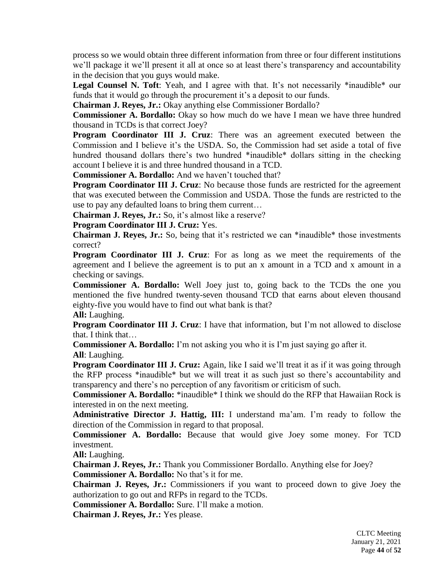process so we would obtain three different information from three or four different institutions we'll package it we'll present it all at once so at least there's transparency and accountability in the decision that you guys would make.

Legal Counsel N. Toft: Yeah, and I agree with that. It's not necessarily \*inaudible\* our funds that it would go through the procurement it's a deposit to our funds.

**Chairman J. Reyes, Jr.:** Okay anything else Commissioner Bordallo?

**Commissioner A. Bordallo:** Okay so how much do we have I mean we have three hundred thousand in TCDs is that correct Joey?

**Program Coordinator III J. Cruz**: There was an agreement executed between the Commission and I believe it's the USDA. So, the Commission had set aside a total of five hundred thousand dollars there's two hundred \*inaudible\* dollars sitting in the checking account I believe it is and three hundred thousand in a TCD.

**Commissioner A. Bordallo:** And we haven't touched that?

**Program Coordinator III J. Cruz:** No because those funds are restricted for the agreement that was executed between the Commission and USDA. Those the funds are restricted to the use to pay any defaulted loans to bring them current…

**Chairman J. Reyes, Jr.:** So, it's almost like a reserve?

**Program Coordinator III J. Cruz:** Yes.

**Chairman J. Reyes, Jr.:** So, being that it's restricted we can \*inaudible\* those investments correct?

**Program Coordinator III J. Cruz**: For as long as we meet the requirements of the agreement and I believe the agreement is to put an x amount in a TCD and x amount in a checking or savings.

**Commissioner A. Bordallo:** Well Joey just to, going back to the TCDs the one you mentioned the five hundred twenty-seven thousand TCD that earns about eleven thousand eighty-five you would have to find out what bank is that?

**All:** Laughing.

**Program Coordinator III J. Cruz**: I have that information, but I'm not allowed to disclose that. I think that…

**Commissioner A. Bordallo:** I'm not asking you who it is I'm just saying go after it.

**All**: Laughing.

**Program Coordinator III J. Cruz:** Again, like I said we'll treat it as if it was going through the RFP process \*inaudible\* but we will treat it as such just so there's accountability and transparency and there's no perception of any favoritism or criticism of such.

**Commissioner A. Bordallo:** \*inaudible\* I think we should do the RFP that Hawaiian Rock is interested in on the next meeting.

**Administrative Director J. Hattig, III:** I understand ma'am. I'm ready to follow the direction of the Commission in regard to that proposal.

**Commissioner A. Bordallo:** Because that would give Joey some money. For TCD investment.

**All:** Laughing.

**Chairman J. Reyes, Jr.:** Thank you Commissioner Bordallo. Anything else for Joey? **Commissioner A. Bordallo:** No that's it for me.

**Chairman J. Reyes, Jr.:** Commissioners if you want to proceed down to give Joey the authorization to go out and RFPs in regard to the TCDs.

**Commissioner A. Bordallo:** Sure. I'll make a motion.

**Chairman J. Reyes, Jr.:** Yes please.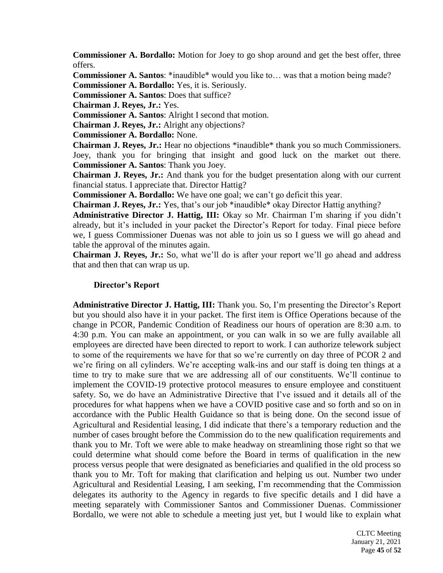**Commissioner A. Bordallo:** Motion for Joey to go shop around and get the best offer, three offers.

**Commissioner A. Santos**: \*inaudible\* would you like to... was that a motion being made? **Commissioner A. Bordallo:** Yes, it is. Seriously.

**Commissioner A. Santos**: Does that suffice?

**Chairman J. Reyes, Jr.:** Yes.

**Commissioner A. Santos**: Alright I second that motion.

**Chairman J. Reyes, Jr.:** Alright any objections?

**Commissioner A. Bordallo:** None.

**Chairman J. Reyes, Jr.:** Hear no objections \*inaudible\* thank you so much Commissioners. Joey, thank you for bringing that insight and good luck on the market out there. **Commissioner A. Santos**: Thank you Joey.

**Chairman J. Reyes, Jr.:** And thank you for the budget presentation along with our current financial status. I appreciate that. Director Hattig?

**Commissioner A. Bordallo:** We have one goal; we can't go deficit this year.

**Chairman J. Reyes, Jr.:** Yes, that's our job \*inaudible\* okay Director Hattig anything?

**Administrative Director J. Hattig, III:** Okay so Mr. Chairman I'm sharing if you didn't already, but it's included in your packet the Director's Report for today. Final piece before we, I guess Commissioner Duenas was not able to join us so I guess we will go ahead and table the approval of the minutes again.

**Chairman J. Reyes, Jr.:** So, what we'll do is after your report we'll go ahead and address that and then that can wrap us up.

#### **Director's Report**

**Administrative Director J. Hattig, III:** Thank you. So, I'm presenting the Director's Report but you should also have it in your packet. The first item is Office Operations because of the change in PCOR, Pandemic Condition of Readiness our hours of operation are 8:30 a.m. to 4:30 p.m. You can make an appointment, or you can walk in so we are fully available all employees are directed have been directed to report to work. I can authorize telework subject to some of the requirements we have for that so we're currently on day three of PCOR 2 and we're firing on all cylinders. We're accepting walk-ins and our staff is doing ten things at a time to try to make sure that we are addressing all of our constituents. We'll continue to implement the COVID-19 protective protocol measures to ensure employee and constituent safety. So, we do have an Administrative Directive that I've issued and it details all of the procedures for what happens when we have a COVID positive case and so forth and so on in accordance with the Public Health Guidance so that is being done. On the second issue of Agricultural and Residential leasing, I did indicate that there's a temporary reduction and the number of cases brought before the Commission do to the new qualification requirements and thank you to Mr. Toft we were able to make headway on streamlining those right so that we could determine what should come before the Board in terms of qualification in the new process versus people that were designated as beneficiaries and qualified in the old process so thank you to Mr. Toft for making that clarification and helping us out. Number two under Agricultural and Residential Leasing, I am seeking, I'm recommending that the Commission delegates its authority to the Agency in regards to five specific details and I did have a meeting separately with Commissioner Santos and Commissioner Duenas. Commissioner Bordallo, we were not able to schedule a meeting just yet, but I would like to explain what

> CLTC Meeting January 21, 2021 Page **45** of **52**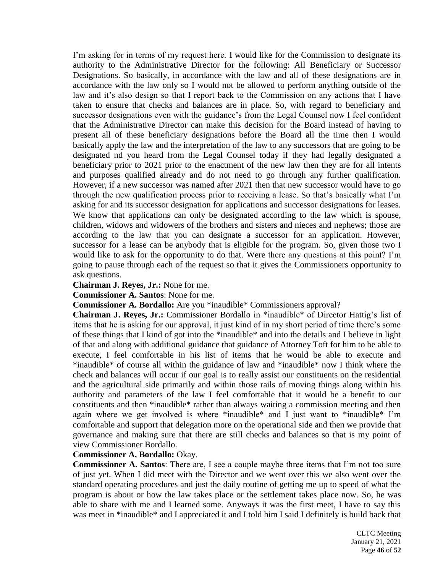I'm asking for in terms of my request here. I would like for the Commission to designate its authority to the Administrative Director for the following: All Beneficiary or Successor Designations. So basically, in accordance with the law and all of these designations are in accordance with the law only so I would not be allowed to perform anything outside of the law and it's also design so that I report back to the Commission on any actions that I have taken to ensure that checks and balances are in place. So, with regard to beneficiary and successor designations even with the guidance's from the Legal Counsel now I feel confident that the Administrative Director can make this decision for the Board instead of having to present all of these beneficiary designations before the Board all the time then I would basically apply the law and the interpretation of the law to any successors that are going to be designated nd you heard from the Legal Counsel today if they had legally designated a beneficiary prior to 2021 prior to the enactment of the new law then they are for all intents and purposes qualified already and do not need to go through any further qualification. However, if a new successor was named after 2021 then that new successor would have to go through the new qualification process prior to receiving a lease. So that's basically what I'm asking for and its successor designation for applications and successor designations for leases. We know that applications can only be designated according to the law which is spouse, children, widows and widowers of the brothers and sisters and nieces and nephews; those are according to the law that you can designate a successor for an application. However, successor for a lease can be anybody that is eligible for the program. So, given those two I would like to ask for the opportunity to do that. Were there any questions at this point? I'm going to pause through each of the request so that it gives the Commissioners opportunity to ask questions.

**Chairman J. Reyes, Jr.:** None for me.

**Commissioner A. Santos**: None for me.

**Commissioner A. Bordallo:** Are you \*inaudible\* Commissioners approval?

**Chairman J. Reyes, Jr.:** Commissioner Bordallo in \*inaudible\* of Director Hattig's list of items that he is asking for our approval, it just kind of in my short period of time there's some of these things that I kind of got into the \*inaudible\* and into the details and I believe in light of that and along with additional guidance that guidance of Attorney Toft for him to be able to execute, I feel comfortable in his list of items that he would be able to execute and \*inaudible\* of course all within the guidance of law and \*inaudible\* now I think where the check and balances will occur if our goal is to really assist our constituents on the residential and the agricultural side primarily and within those rails of moving things along within his authority and parameters of the law I feel comfortable that it would be a benefit to our constituents and then \*inaudible\* rather than always waiting a commission meeting and then again where we get involved is where \*inaudible\* and I just want to \*inaudible\* I'm comfortable and support that delegation more on the operational side and then we provide that governance and making sure that there are still checks and balances so that is my point of view Commissioner Bordallo.

# **Commissioner A. Bordallo:** Okay.

**Commissioner A. Santos**: There are, I see a couple maybe three items that I'm not too sure of just yet. When I did meet with the Director and we went over this we also went over the standard operating procedures and just the daily routine of getting me up to speed of what the program is about or how the law takes place or the settlement takes place now. So, he was able to share with me and I learned some. Anyways it was the first meet, I have to say this was meet in \*inaudible\* and I appreciated it and I told him I said I definitely is build back that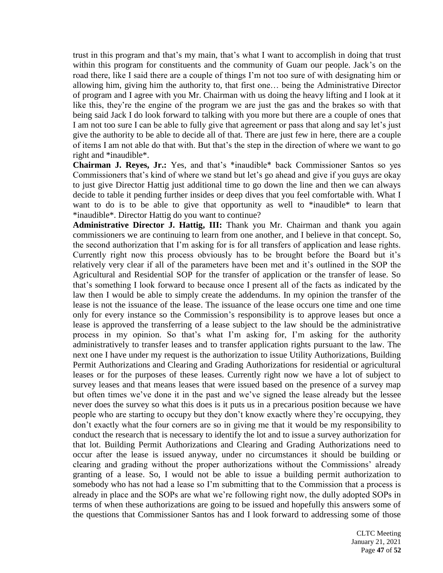trust in this program and that's my main, that's what I want to accomplish in doing that trust within this program for constituents and the community of Guam our people. Jack's on the road there, like I said there are a couple of things I'm not too sure of with designating him or allowing him, giving him the authority to, that first one… being the Administrative Director of program and I agree with you Mr. Chairman with us doing the heavy lifting and I look at it like this, they're the engine of the program we are just the gas and the brakes so with that being said Jack I do look forward to talking with you more but there are a couple of ones that I am not too sure I can be able to fully give that agreement or pass that along and say let's just give the authority to be able to decide all of that. There are just few in here, there are a couple of items I am not able do that with. But that's the step in the direction of where we want to go right and \*inaudible\*.

**Chairman J. Reyes, Jr.:** Yes, and that's \*inaudible\* back Commissioner Santos so yes Commissioners that's kind of where we stand but let's go ahead and give if you guys are okay to just give Director Hattig just additional time to go down the line and then we can always decide to table it pending further insides or deep dives that you feel comfortable with. What I want to do is to be able to give that opportunity as well to \*inaudible\* to learn that \*inaudible\*. Director Hattig do you want to continue?

**Administrative Director J. Hattig, III:** Thank you Mr. Chairman and thank you again commissioners we are continuing to learn from one another, and I believe in that concept. So, the second authorization that I'm asking for is for all transfers of application and lease rights. Currently right now this process obviously has to be brought before the Board but it's relatively very clear if all of the parameters have been met and it's outlined in the SOP the Agricultural and Residential SOP for the transfer of application or the transfer of lease. So that's something I look forward to because once I present all of the facts as indicated by the law then I would be able to simply create the addendums. In my opinion the transfer of the lease is not the issuance of the lease. The issuance of the lease occurs one time and one time only for every instance so the Commission's responsibility is to approve leases but once a lease is approved the transferring of a lease subject to the law should be the administrative process in my opinion. So that's what I'm asking for, I'm asking for the authority administratively to transfer leases and to transfer application rights pursuant to the law. The next one I have under my request is the authorization to issue Utility Authorizations, Building Permit Authorizations and Clearing and Grading Authorizations for residential or agricultural leases or for the purposes of these leases. Currently right now we have a lot of subject to survey leases and that means leases that were issued based on the presence of a survey map but often times we've done it in the past and we've signed the lease already but the lessee never does the survey so what this does is it puts us in a precarious position because we have people who are starting to occupy but they don't know exactly where they're occupying, they don't exactly what the four corners are so in giving me that it would be my responsibility to conduct the research that is necessary to identify the lot and to issue a survey authorization for that lot. Building Permit Authorizations and Clearing and Grading Authorizations need to occur after the lease is issued anyway, under no circumstances it should be building or clearing and grading without the proper authorizations without the Commissions' already granting of a lease. So, I would not be able to issue a building permit authorization to somebody who has not had a lease so I'm submitting that to the Commission that a process is already in place and the SOPs are what we're following right now, the dully adopted SOPs in terms of when these authorizations are going to be issued and hopefully this answers some of the questions that Commissioner Santos has and I look forward to addressing some of those

> CLTC Meeting January 21, 2021 Page **47** of **52**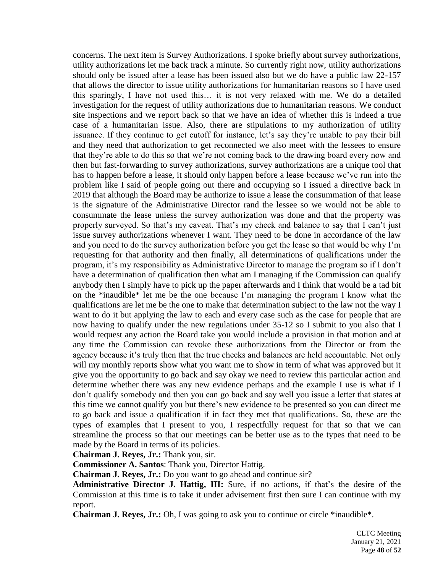concerns. The next item is Survey Authorizations. I spoke briefly about survey authorizations, utility authorizations let me back track a minute. So currently right now, utility authorizations should only be issued after a lease has been issued also but we do have a public law 22-157 that allows the director to issue utility authorizations for humanitarian reasons so I have used this sparingly, I have not used this… it is not very relaxed with me. We do a detailed investigation for the request of utility authorizations due to humanitarian reasons. We conduct site inspections and we report back so that we have an idea of whether this is indeed a true case of a humanitarian issue. Also, there are stipulations to my authorization of utility issuance. If they continue to get cutoff for instance, let's say they're unable to pay their bill and they need that authorization to get reconnected we also meet with the lessees to ensure that they're able to do this so that we're not coming back to the drawing board every now and then but fast-forwarding to survey authorizations, survey authorizations are a unique tool that has to happen before a lease, it should only happen before a lease because we've run into the problem like I said of people going out there and occupying so I issued a directive back in 2019 that although the Board may be authorize to issue a lease the consummation of that lease is the signature of the Administrative Director rand the lessee so we would not be able to consummate the lease unless the survey authorization was done and that the property was properly surveyed. So that's my caveat. That's my check and balance to say that I can't just issue survey authorizations whenever I want. They need to be done in accordance of the law and you need to do the survey authorization before you get the lease so that would be why I'm requesting for that authority and then finally, all determinations of qualifications under the program, it's my responsibility as Administrative Director to manage the program so if I don't have a determination of qualification then what am I managing if the Commission can qualify anybody then I simply have to pick up the paper afterwards and I think that would be a tad bit on the \*inaudible\* let me be the one because I'm managing the program I know what the qualifications are let me be the one to make that determination subject to the law not the way I want to do it but applying the law to each and every case such as the case for people that are now having to qualify under the new regulations under 35-12 so I submit to you also that I would request any action the Board take you would include a provision in that motion and at any time the Commission can revoke these authorizations from the Director or from the agency because it's truly then that the true checks and balances are held accountable. Not only will my monthly reports show what you want me to show in term of what was approved but it give you the opportunity to go back and say okay we need to review this particular action and determine whether there was any new evidence perhaps and the example I use is what if I don't qualify somebody and then you can go back and say well you issue a letter that states at this time we cannot qualify you but there's new evidence to be presented so you can direct me to go back and issue a qualification if in fact they met that qualifications. So, these are the types of examples that I present to you, I respectfully request for that so that we can streamline the process so that our meetings can be better use as to the types that need to be made by the Board in terms of its policies.

**Chairman J. Reyes, Jr.:** Thank you, sir.

**Commissioner A. Santos**: Thank you, Director Hattig.

**Chairman J. Reyes, Jr.:** Do you want to go ahead and continue sir?

**Administrative Director J. Hattig, III:** Sure, if no actions, if that's the desire of the Commission at this time is to take it under advisement first then sure I can continue with my report.

**Chairman J. Reyes, Jr.:** Oh, I was going to ask you to continue or circle \*inaudible\*.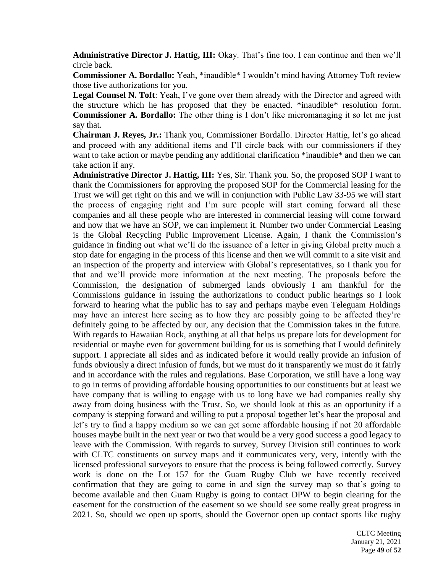**Administrative Director J. Hattig, III:** Okay. That's fine too. I can continue and then we'll circle back.

**Commissioner A. Bordallo:** Yeah, \*inaudible\* I wouldn't mind having Attorney Toft review those five authorizations for you.

**Legal Counsel N. Toft**: Yeah, I've gone over them already with the Director and agreed with the structure which he has proposed that they be enacted. \*inaudible\* resolution form. **Commissioner A. Bordallo:** The other thing is I don't like micromanaging it so let me just say that.

**Chairman J. Reyes, Jr.:** Thank you, Commissioner Bordallo. Director Hattig, let's go ahead and proceed with any additional items and I'll circle back with our commissioners if they want to take action or maybe pending any additional clarification \*inaudible\* and then we can take action if any.

**Administrative Director J. Hattig, III:** Yes, Sir. Thank you. So, the proposed SOP I want to thank the Commissioners for approving the proposed SOP for the Commercial leasing for the Trust we will get right on this and we will in conjunction with Public Law 33-95 we will start the process of engaging right and I'm sure people will start coming forward all these companies and all these people who are interested in commercial leasing will come forward and now that we have an SOP, we can implement it. Number two under Commercial Leasing is the Global Recycling Public Improvement License. Again, I thank the Commission's guidance in finding out what we'll do the issuance of a letter in giving Global pretty much a stop date for engaging in the process of this license and then we will commit to a site visit and an inspection of the property and interview with Global's representatives, so I thank you for that and we'll provide more information at the next meeting. The proposals before the Commission, the designation of submerged lands obviously I am thankful for the Commissions guidance in issuing the authorizations to conduct public hearings so I look forward to hearing what the public has to say and perhaps maybe even Teleguam Holdings may have an interest here seeing as to how they are possibly going to be affected they're definitely going to be affected by our, any decision that the Commission takes in the future. With regards to Hawaiian Rock, anything at all that helps us prepare lots for development for residential or maybe even for government building for us is something that I would definitely support. I appreciate all sides and as indicated before it would really provide an infusion of funds obviously a direct infusion of funds, but we must do it transparently we must do it fairly and in accordance with the rules and regulations. Base Corporation, we still have a long way to go in terms of providing affordable housing opportunities to our constituents but at least we have company that is willing to engage with us to long have we had companies really shy away from doing business with the Trust. So, we should look at this as an opportunity if a company is stepping forward and willing to put a proposal together let's hear the proposal and let's try to find a happy medium so we can get some affordable housing if not 20 affordable houses maybe built in the next year or two that would be a very good success a good legacy to leave with the Commission. With regards to survey, Survey Division still continues to work with CLTC constituents on survey maps and it communicates very, very, intently with the licensed professional surveyors to ensure that the process is being followed correctly. Survey work is done on the Lot 157 for the Guam Rugby Club we have recently received confirmation that they are going to come in and sign the survey map so that's going to become available and then Guam Rugby is going to contact DPW to begin clearing for the easement for the construction of the easement so we should see some really great progress in 2021. So, should we open up sports, should the Governor open up contact sports like rugby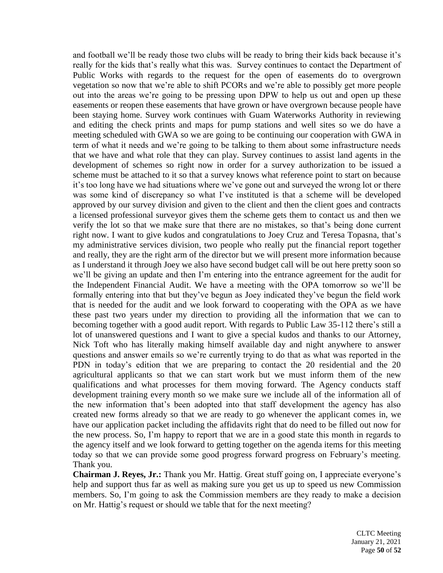and football we'll be ready those two clubs will be ready to bring their kids back because it's really for the kids that's really what this was. Survey continues to contact the Department of Public Works with regards to the request for the open of easements do to overgrown vegetation so now that we're able to shift PCORs and we're able to possibly get more people out into the areas we're going to be pressing upon DPW to help us out and open up these easements or reopen these easements that have grown or have overgrown because people have been staying home. Survey work continues with Guam Waterworks Authority in reviewing and editing the check prints and maps for pump stations and well sites so we do have a meeting scheduled with GWA so we are going to be continuing our cooperation with GWA in term of what it needs and we're going to be talking to them about some infrastructure needs that we have and what role that they can play. Survey continues to assist land agents in the development of schemes so right now in order for a survey authorization to be issued a scheme must be attached to it so that a survey knows what reference point to start on because it's too long have we had situations where we've gone out and surveyed the wrong lot or there was some kind of discrepancy so what I've instituted is that a scheme will be developed approved by our survey division and given to the client and then the client goes and contracts a licensed professional surveyor gives them the scheme gets them to contact us and then we verify the lot so that we make sure that there are no mistakes, so that's being done current right now. I want to give kudos and congratulations to Joey Cruz and Teresa Topasna, that's my administrative services division, two people who really put the financial report together and really, they are the right arm of the director but we will present more information because as I understand it through Joey we also have second budget call will be out here pretty soon so we'll be giving an update and then I'm entering into the entrance agreement for the audit for the Independent Financial Audit. We have a meeting with the OPA tomorrow so we'll be formally entering into that but they've begun as Joey indicated they've begun the field work that is needed for the audit and we look forward to cooperating with the OPA as we have these past two years under my direction to providing all the information that we can to becoming together with a good audit report. With regards to Public Law 35-112 there's still a lot of unanswered questions and I want to give a special kudos and thanks to our Attorney, Nick Toft who has literally making himself available day and night anywhere to answer questions and answer emails so we're currently trying to do that as what was reported in the PDN in today's edition that we are preparing to contact the 20 residential and the 20 agricultural applicants so that we can start work but we must inform them of the new qualifications and what processes for them moving forward. The Agency conducts staff development training every month so we make sure we include all of the information all of the new information that's been adopted into that staff development the agency has also created new forms already so that we are ready to go whenever the applicant comes in, we have our application packet including the affidavits right that do need to be filled out now for the new process. So, I'm happy to report that we are in a good state this month in regards to the agency itself and we look forward to getting together on the agenda items for this meeting today so that we can provide some good progress forward progress on February's meeting. Thank you.

**Chairman J. Reyes, Jr.:** Thank you Mr. Hattig. Great stuff going on, I appreciate everyone's help and support thus far as well as making sure you get us up to speed us new Commission members. So, I'm going to ask the Commission members are they ready to make a decision on Mr. Hattig's request or should we table that for the next meeting?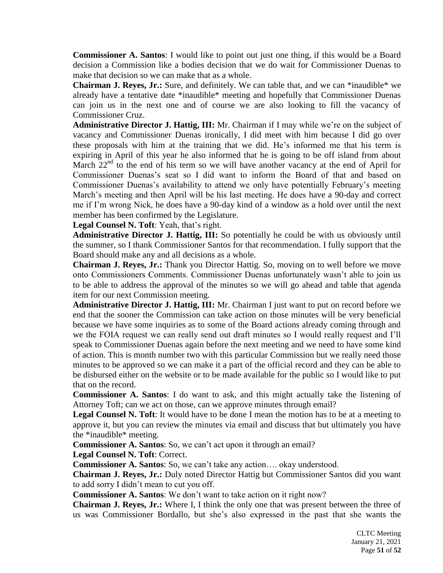**Commissioner A. Santos**: I would like to point out just one thing, if this would be a Board decision a Commission like a bodies decision that we do wait for Commissioner Duenas to make that decision so we can make that as a whole.

**Chairman J. Reyes, Jr.:** Sure, and definitely. We can table that, and we can \*inaudible\* we already have a tentative date \*inaudible\* meeting and hopefully that Commissioner Duenas can join us in the next one and of course we are also looking to fill the vacancy of Commissioner Cruz.

**Administrative Director J. Hattig, III:** Mr. Chairman if I may while we're on the subject of vacancy and Commissioner Duenas ironically, I did meet with him because I did go over these proposals with him at the training that we did. He's informed me that his term is expiring in April of this year he also informed that he is going to be off island from about March  $22<sup>nd</sup>$  to the end of his term so we will have another vacancy at the end of April for Commissioner Duenas's seat so I did want to inform the Board of that and based on Commissioner Duenas's availability to attend we only have potentially February's meeting March's meeting and then April will be his last meeting. He does have a 90-day and correct me if I'm wrong Nick, he does have a 90-day kind of a window as a hold over until the next member has been confirmed by the Legislature.

**Legal Counsel N. Toft**: Yeah, that's right.

**Administrative Director J. Hattig, III:** So potentially he could be with us obviously until the summer, so I thank Commissioner Santos for that recommendation. I fully support that the Board should make any and all decisions as a whole.

**Chairman J. Reyes, Jr.:** Thank you Director Hattig. So, moving on to well before we move onto Commissioners Comments. Commissioner Duenas unfortunately wasn't able to join us to be able to address the approval of the minutes so we will go ahead and table that agenda item for our next Commission meeting.

**Administrative Director J. Hattig, III:** Mr. Chairman I just want to put on record before we end that the sooner the Commission can take action on those minutes will be very beneficial because we have some inquiries as to some of the Board actions already coming through and we the FOIA request we can really send out draft minutes so I would really request and I'll speak to Commissioner Duenas again before the next meeting and we need to have some kind of action. This is month number two with this particular Commission but we really need those minutes to be approved so we can make it a part of the official record and they can be able to be disbursed either on the website or to be made available for the public so I would like to put that on the record.

**Commissioner A. Santos**: I do want to ask, and this might actually take the listening of Attorney Toft; can we act on those, can we approve minutes through email?

**Legal Counsel N. Toft**: It would have to be done I mean the motion has to be at a meeting to approve it, but you can review the minutes via email and discuss that but ultimately you have the \*inaudible\* meeting.

**Commissioner A. Santos**: So, we can't act upon it through an email?

**Legal Counsel N. Toft**: Correct.

**Commissioner A. Santos**: So, we can't take any action…. okay understood.

**Chairman J. Reyes, Jr.:** Duly noted Director Hattig but Commissioner Santos did you want to add sorry I didn't mean to cut you off.

**Commissioner A. Santos**: We don't want to take action on it right now?

**Chairman J. Reyes, Jr.:** Where I, I think the only one that was present between the three of us was Commissioner Bordallo, but she's also expressed in the past that she wants the